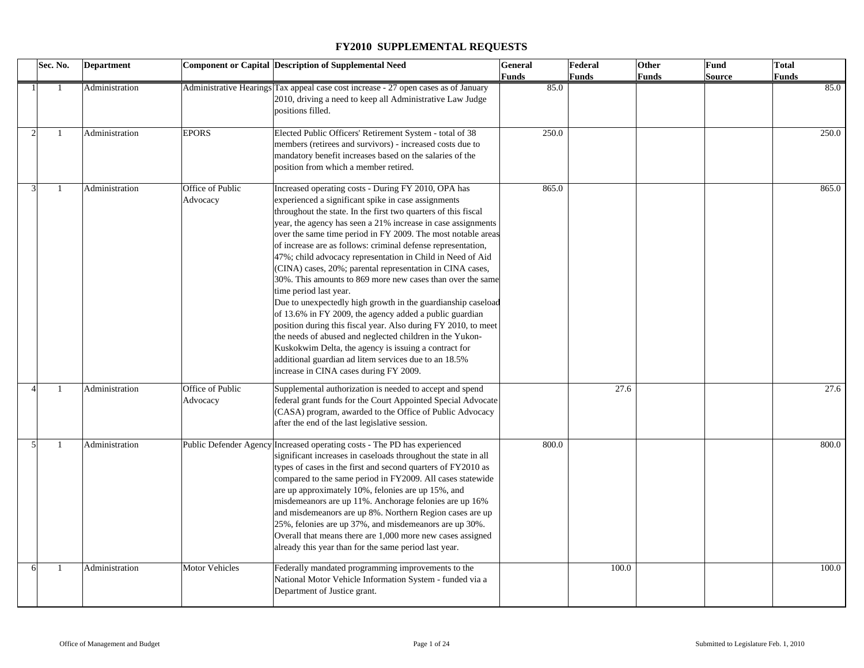|                | Sec. No. |              | <b>Department</b> |                              | Component or Capital Description of Supplemental Need                                                                                                                                                                                                                                                                                                                                                                                                                                                                                                                                                                                                                                                                                                                                                                                                                                                                                                                                                                | <b>General</b> | Federal      | Other        | <b>Fund</b>   | <b>Total</b> |
|----------------|----------|--------------|-------------------|------------------------------|----------------------------------------------------------------------------------------------------------------------------------------------------------------------------------------------------------------------------------------------------------------------------------------------------------------------------------------------------------------------------------------------------------------------------------------------------------------------------------------------------------------------------------------------------------------------------------------------------------------------------------------------------------------------------------------------------------------------------------------------------------------------------------------------------------------------------------------------------------------------------------------------------------------------------------------------------------------------------------------------------------------------|----------------|--------------|--------------|---------------|--------------|
|                |          |              |                   |                              |                                                                                                                                                                                                                                                                                                                                                                                                                                                                                                                                                                                                                                                                                                                                                                                                                                                                                                                                                                                                                      | Funds          | <b>Funds</b> | <b>Funds</b> | <b>Source</b> | Funds        |
|                |          |              | Administration    |                              | Administrative Hearings Tax appeal case cost increase - 27 open cases as of January<br>2010, driving a need to keep all Administrative Law Judge<br>positions filled.                                                                                                                                                                                                                                                                                                                                                                                                                                                                                                                                                                                                                                                                                                                                                                                                                                                | 85.0           |              |              |               | 85.0         |
| $\mathcal{D}$  |          |              | Administration    | <b>EPORS</b>                 | Elected Public Officers' Retirement System - total of 38<br>members (retirees and survivors) - increased costs due to<br>mandatory benefit increases based on the salaries of the<br>position from which a member retired.                                                                                                                                                                                                                                                                                                                                                                                                                                                                                                                                                                                                                                                                                                                                                                                           | 250.0          |              |              |               | 250.0        |
|                |          |              | Administration    | Office of Public<br>Advocacy | Increased operating costs - During FY 2010, OPA has<br>experienced a significant spike in case assignments<br>throughout the state. In the first two quarters of this fiscal<br>year, the agency has seen a 21% increase in case assignments<br>over the same time period in FY 2009. The most notable areas<br>of increase are as follows: criminal defense representation,<br>47%; child advocacy representation in Child in Need of Aid<br>(CINA) cases, 20%; parental representation in CINA cases,<br>30%. This amounts to 869 more new cases than over the same<br>time period last year.<br>Due to unexpectedly high growth in the guardianship caseload<br>of 13.6% in FY 2009, the agency added a public guardian<br>position during this fiscal year. Also during FY 2010, to meet<br>the needs of abused and neglected children in the Yukon-<br>Kuskokwim Delta, the agency is issuing a contract for<br>additional guardian ad litem services due to an 18.5%<br>increase in CINA cases during FY 2009. | 865.0          |              |              |               | 865.0        |
|                |          | -1           | Administration    | Office of Public<br>Advocacy | Supplemental authorization is needed to accept and spend<br>federal grant funds for the Court Appointed Special Advocate<br>(CASA) program, awarded to the Office of Public Advocacy<br>after the end of the last legislative session.                                                                                                                                                                                                                                                                                                                                                                                                                                                                                                                                                                                                                                                                                                                                                                               |                | 27.6         |              |               | 27.6         |
| $\overline{5}$ |          | $\mathbf{1}$ | Administration    |                              | Public Defender Agency Increased operating costs - The PD has experienced<br>significant increases in caseloads throughout the state in all<br>types of cases in the first and second quarters of FY2010 as<br>compared to the same period in FY2009. All cases statewide<br>are up approximately 10%, felonies are up 15%, and<br>misdemeanors are up 11%. Anchorage felonies are up 16%<br>and misdemeanors are up 8%. Northern Region cases are up<br>25%, felonies are up 37%, and misdemeanors are up 30%.<br>Overall that means there are 1,000 more new cases assigned<br>already this year than for the same period last year.                                                                                                                                                                                                                                                                                                                                                                               | 800.0          |              |              |               | 800.0        |
|                |          | $\mathbf{1}$ | Administration    | <b>Motor Vehicles</b>        | Federally mandated programming improvements to the<br>National Motor Vehicle Information System - funded via a<br>Department of Justice grant.                                                                                                                                                                                                                                                                                                                                                                                                                                                                                                                                                                                                                                                                                                                                                                                                                                                                       |                | 100.0        |              |               | 100.0        |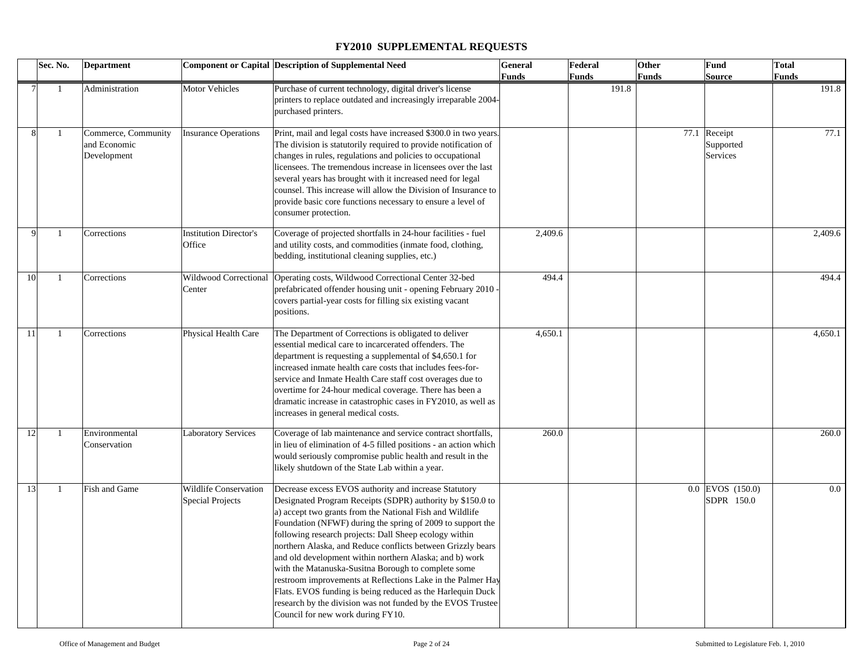|             | Sec. No.     | <b>Department</b>                                  |                                                  | <b>Component or Capital Description of Supplemental Need</b>                                                                                                                                                                                                                                                                                                                                                                                                                                                                                                                                                                                                                                                              | <b>General</b> | Federal      | Other | Fund<br><b>Total</b>                  |         |
|-------------|--------------|----------------------------------------------------|--------------------------------------------------|---------------------------------------------------------------------------------------------------------------------------------------------------------------------------------------------------------------------------------------------------------------------------------------------------------------------------------------------------------------------------------------------------------------------------------------------------------------------------------------------------------------------------------------------------------------------------------------------------------------------------------------------------------------------------------------------------------------------------|----------------|--------------|-------|---------------------------------------|---------|
|             |              |                                                    |                                                  |                                                                                                                                                                                                                                                                                                                                                                                                                                                                                                                                                                                                                                                                                                                           | <b>Funds</b>   | <b>Funds</b> | Funds | Source                                | Funds   |
|             | -1           | Administration                                     | Motor Vehicles                                   | Purchase of current technology, digital driver's license<br>printers to replace outdated and increasingly irreparable 2004-<br>purchased printers.                                                                                                                                                                                                                                                                                                                                                                                                                                                                                                                                                                        |                | 191.8        |       |                                       | 191.8   |
|             | -1           | Commerce, Community<br>and Economic<br>Development | <b>Insurance Operations</b>                      | Print, mail and legal costs have increased \$300.0 in two years.<br>The division is statutorily required to provide notification of<br>changes in rules, regulations and policies to occupational<br>licensees. The tremendous increase in licensees over the last<br>several years has brought with it increased need for legal<br>counsel. This increase will allow the Division of Insurance to<br>provide basic core functions necessary to ensure a level of<br>consumer protection.                                                                                                                                                                                                                                 |                |              |       | 77.1 Receipt<br>Supported<br>Services | 77.1    |
| $\mathbf Q$ | -1           | Corrections                                        | <b>Institution Director's</b><br>Office          | Coverage of projected shortfalls in 24-hour facilities - fuel<br>and utility costs, and commodities (inmate food, clothing,<br>bedding, institutional cleaning supplies, etc.)                                                                                                                                                                                                                                                                                                                                                                                                                                                                                                                                            | 2,409.6        |              |       |                                       | 2,409.6 |
| 10          | $\mathbf{1}$ | Corrections                                        | Center                                           | Wildwood Correctional  Operating costs, Wildwood Correctional Center 32-bed<br>prefabricated offender housing unit - opening February 2010<br>covers partial-year costs for filling six existing vacant<br>positions.                                                                                                                                                                                                                                                                                                                                                                                                                                                                                                     | 494.4          |              |       |                                       | 494.4   |
| 11          | $\mathbf{1}$ | Corrections                                        | Physical Health Care                             | The Department of Corrections is obligated to deliver<br>essential medical care to incarcerated offenders. The<br>department is requesting a supplemental of \$4,650.1 for<br>increased inmate health care costs that includes fees-for-<br>service and Inmate Health Care staff cost overages due to<br>overtime for 24-hour medical coverage. There has been a<br>dramatic increase in catastrophic cases in FY2010, as well as<br>increases in general medical costs.                                                                                                                                                                                                                                                  | 4,650.1        |              |       |                                       | 4,650.1 |
| 12          | $\mathbf{1}$ | Environmental<br>Conservation                      | <b>Laboratory Services</b>                       | Coverage of lab maintenance and service contract shortfalls,<br>in lieu of elimination of 4-5 filled positions - an action which<br>would seriously compromise public health and result in the<br>likely shutdown of the State Lab within a year.                                                                                                                                                                                                                                                                                                                                                                                                                                                                         | 260.0          |              |       |                                       | 260.0   |
| 13          | -1           | Fish and Game                                      | Wildlife Conservation<br><b>Special Projects</b> | Decrease excess EVOS authority and increase Statutory<br>Designated Program Receipts (SDPR) authority by \$150.0 to<br>a) accept two grants from the National Fish and Wildlife<br>Foundation (NFWF) during the spring of 2009 to support the<br>following research projects: Dall Sheep ecology within<br>northern Alaska, and Reduce conflicts between Grizzly bears<br>and old development within northern Alaska; and b) work<br>with the Matanuska-Susitna Borough to complete some<br>restroom improvements at Reflections Lake in the Palmer Hay<br>Flats. EVOS funding is being reduced as the Harlequin Duck<br>research by the division was not funded by the EVOS Trustee<br>Council for new work during FY10. |                |              |       | 0.0 EVOS (150.0)<br>SDPR 150.0        | $0.0\,$ |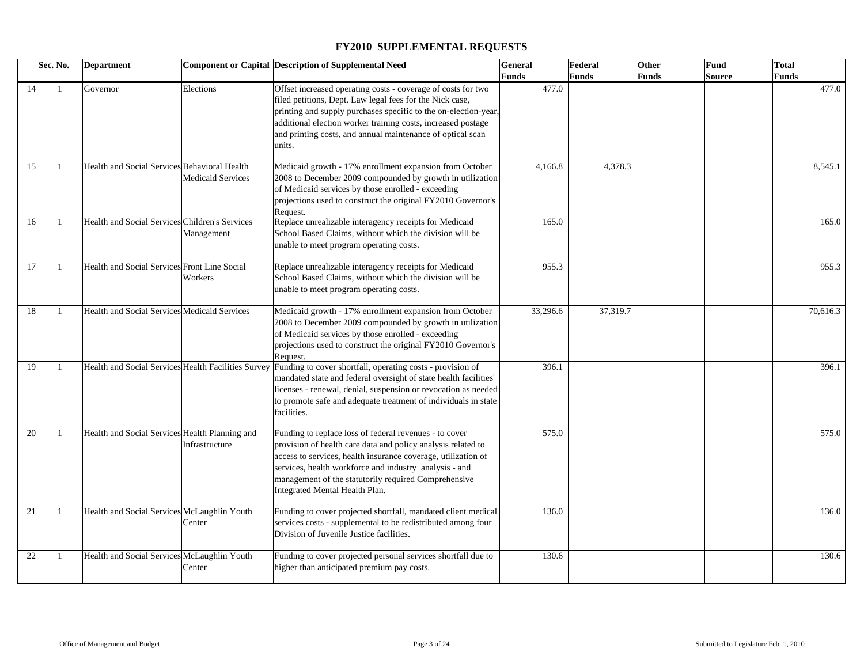|    | Sec. No.       | <b>Department</b>                              |                          | Component or Capital Description of Supplemental Need                                                                                                                                                                                                                                                                                       | <b>General</b> | Federal      | Other | Fund   | <b>Total</b> |
|----|----------------|------------------------------------------------|--------------------------|---------------------------------------------------------------------------------------------------------------------------------------------------------------------------------------------------------------------------------------------------------------------------------------------------------------------------------------------|----------------|--------------|-------|--------|--------------|
|    |                |                                                |                          |                                                                                                                                                                                                                                                                                                                                             | Funds          | <b>Funds</b> | Funds | Source | Funds        |
| 14 | -1             | Governor                                       | Elections                | Offset increased operating costs - coverage of costs for two<br>filed petitions, Dept. Law legal fees for the Nick case,<br>printing and supply purchases specific to the on-election-year,<br>additional election worker training costs, increased postage<br>and printing costs, and annual maintenance of optical scan<br>units.         | 477.0          |              |       |        | 477.0        |
| 15 | $\overline{1}$ | Health and Social Services Behavioral Health   | <b>Medicaid Services</b> | Medicaid growth - 17% enrollment expansion from October<br>2008 to December 2009 compounded by growth in utilization<br>of Medicaid services by those enrolled - exceeding<br>projections used to construct the original FY2010 Governor's<br>Request.                                                                                      | 4,166.8        | 4,378.3      |       |        | 8,545.1      |
| 16 | $\overline{1}$ | Health and Social Services Children's Services | Management               | Replace unrealizable interagency receipts for Medicaid<br>School Based Claims, without which the division will be<br>unable to meet program operating costs.                                                                                                                                                                                | 165.0          |              |       |        | 165.0        |
| 17 | $\mathbf{1}$   | Health and Social Services Front Line Social   | Workers                  | Replace unrealizable interagency receipts for Medicaid<br>School Based Claims, without which the division will be<br>unable to meet program operating costs.                                                                                                                                                                                | 955.3          |              |       |        | 955.3        |
| 18 | $\mathbf{1}$   | Health and Social Services Medicaid Services   |                          | Medicaid growth - 17% enrollment expansion from October<br>2008 to December 2009 compounded by growth in utilization<br>of Medicaid services by those enrolled - exceeding<br>projections used to construct the original FY2010 Governor's<br>Request.                                                                                      | 33,296.6       | 37,319.7     |       |        | 70,616.3     |
| 19 | -1             |                                                |                          | Health and Social Services Health Facilities Survey Funding to cover shortfall, operating costs - provision of<br>mandated state and federal oversight of state health facilities'<br>licenses - renewal, denial, suspension or revocation as needed<br>to promote safe and adequate treatment of individuals in state<br>facilities.       | 396.1          |              |       |        | 396.1        |
| 20 | -1             | Health and Social Services Health Planning and | Infrastructure           | Funding to replace loss of federal revenues - to cover<br>provision of health care data and policy analysis related to<br>access to services, health insurance coverage, utilization of<br>services, health workforce and industry analysis - and<br>management of the statutorily required Comprehensive<br>Integrated Mental Health Plan. | 575.0          |              |       |        | 575.0        |
| 21 | $\mathbf{1}$   | Health and Social Services McLaughlin Youth    | Center                   | Funding to cover projected shortfall, mandated client medical<br>services costs - supplemental to be redistributed among four<br>Division of Juvenile Justice facilities.                                                                                                                                                                   | 136.0          |              |       |        | 136.0        |
| 22 | -1             | Health and Social Services McLaughlin Youth    | Center                   | Funding to cover projected personal services shortfall due to<br>higher than anticipated premium pay costs.                                                                                                                                                                                                                                 | 130.6          |              |       |        | 130.6        |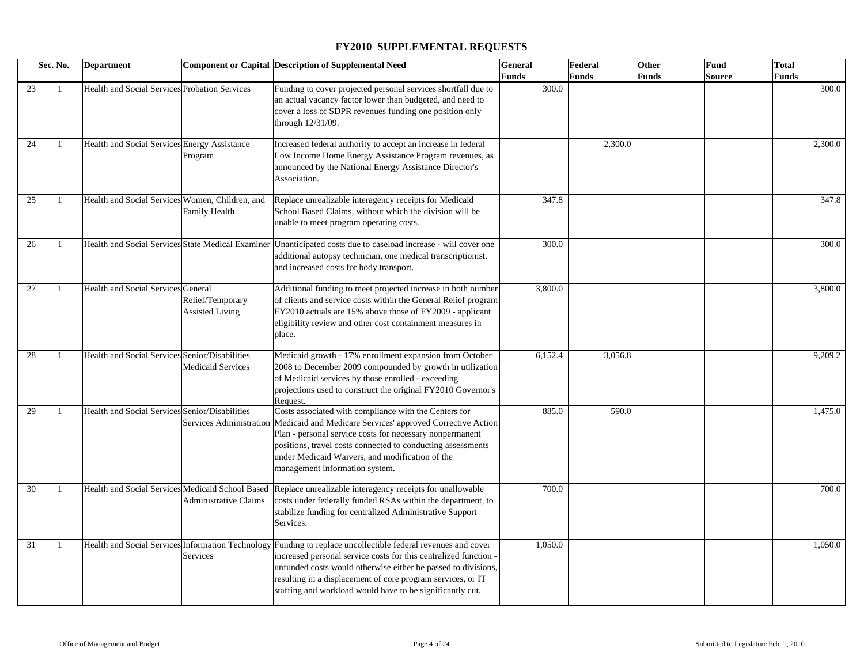|    | Sec. No.       | <b>Department</b>                               |                                            | <b>Component or Capital Description of Supplemental Need</b>                                                                                                                                                                                                                                                                                                                   | General      | Federal      | Other | Fund          | <b>Total</b> |
|----|----------------|-------------------------------------------------|--------------------------------------------|--------------------------------------------------------------------------------------------------------------------------------------------------------------------------------------------------------------------------------------------------------------------------------------------------------------------------------------------------------------------------------|--------------|--------------|-------|---------------|--------------|
|    |                |                                                 |                                            |                                                                                                                                                                                                                                                                                                                                                                                | <b>Funds</b> | <b>Funds</b> | Funds | <b>Source</b> | <b>Funds</b> |
| 23 |                | Health and Social Services Probation Services   |                                            | Funding to cover projected personal services shortfall due to<br>an actual vacancy factor lower than budgeted, and need to<br>cover a loss of SDPR revenues funding one position only<br>through 12/31/09.                                                                                                                                                                     | 300.0        |              |       |               | 300.0        |
| 24 | $\overline{1}$ | Health and Social Services Energy Assistance    | Program                                    | Increased federal authority to accept an increase in federal<br>Low Income Home Energy Assistance Program revenues, as<br>announced by the National Energy Assistance Director's<br>Association.                                                                                                                                                                               |              | 2,300.0      |       |               | 2,300.0      |
| 25 | $\overline{1}$ | Health and Social Services Women, Children, and | Family Health                              | Replace unrealizable interagency receipts for Medicaid<br>School Based Claims, without which the division will be<br>unable to meet program operating costs.                                                                                                                                                                                                                   | 347.8        |              |       |               | 347.8        |
| 26 | -1             |                                                 |                                            | Health and Social Services State Medical Examiner   Unanticipated costs due to caseload increase - will cover one<br>additional autopsy technician, one medical transcriptionist,<br>and increased costs for body transport.                                                                                                                                                   | 300.0        |              |       |               | 300.0        |
| 27 | $\overline{1}$ | Health and Social Services General              | Relief/Temporary<br><b>Assisted Living</b> | Additional funding to meet projected increase in both number<br>of clients and service costs within the General Relief program<br>FY2010 actuals are 15% above those of FY2009 - applicant<br>eligibility review and other cost containment measures in<br>place.                                                                                                              | 3,800.0      |              |       |               | 3,800.0      |
| 28 | -1             | Health and Social Services Senior/Disabilities  | <b>Medicaid Services</b>                   | Medicaid growth - 17% enrollment expansion from October<br>2008 to December 2009 compounded by growth in utilization<br>of Medicaid services by those enrolled - exceeding<br>projections used to construct the original FY2010 Governor's<br>Request.                                                                                                                         | 6,152.4      | 3,056.8      |       |               | 9,209.2      |
| 29 | $\overline{1}$ | Health and Social Services Senior/Disabilities  |                                            | Costs associated with compliance with the Centers for<br>Services Administration Medicaid and Medicare Services' approved Corrective Action<br>Plan - personal service costs for necessary nonpermanent<br>positions, travel costs connected to conducting assessments<br>under Medicaid Waivers, and modification of the<br>management information system.                    | 885.0        | 590.0        |       |               | 1,475.0      |
| 30 | $\overline{1}$ |                                                 | Administrative Claims                      | Health and Social Services Medicaid School Based Replace unrealizable interagency receipts for unallowable<br>costs under federally funded RSAs within the department, to<br>stabilize funding for centralized Administrative Support<br>Services.                                                                                                                             | 700.0        |              |       |               | 700.0        |
| 31 | $\overline{1}$ |                                                 | Services                                   | Health and Social Services Information Technology Funding to replace uncollectible federal revenues and cover<br>increased personal service costs for this centralized function -<br>unfunded costs would otherwise either be passed to divisions,<br>resulting in a displacement of core program services, or IT<br>staffing and workload would have to be significantly cut. | 1,050.0      |              |       |               | 1,050.0      |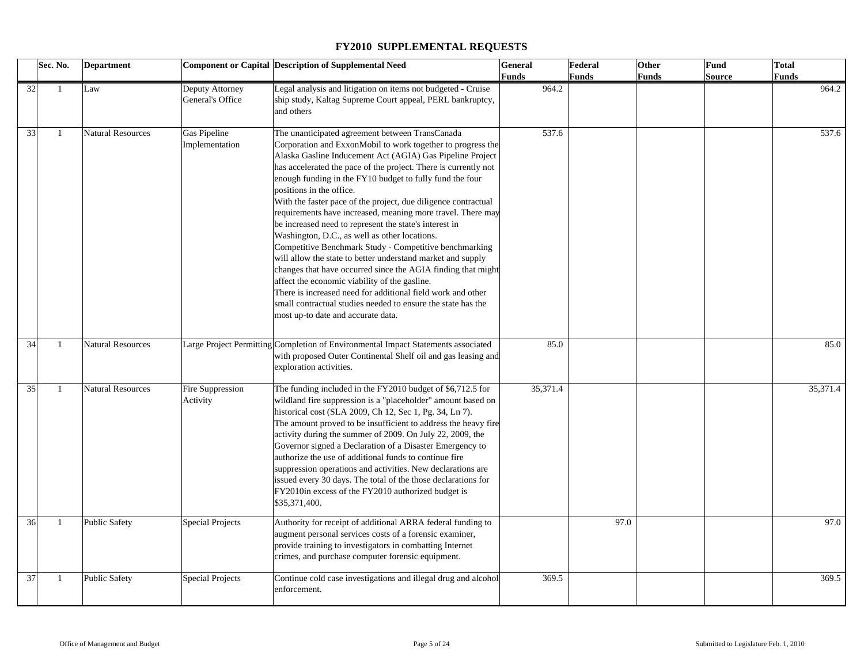| Sec. No. |                | <b>Department</b>        |                                     | <b>Component or Capital Description of Supplemental Need</b>                                                                                                                                                                                                                                                                                                                                                                                                                                                                                                                                                                                                                                                                                                                                                                                                                                                                                                                                      | <b>General</b> | Federal      | Other | Fund          | <b>Total</b> |
|----------|----------------|--------------------------|-------------------------------------|---------------------------------------------------------------------------------------------------------------------------------------------------------------------------------------------------------------------------------------------------------------------------------------------------------------------------------------------------------------------------------------------------------------------------------------------------------------------------------------------------------------------------------------------------------------------------------------------------------------------------------------------------------------------------------------------------------------------------------------------------------------------------------------------------------------------------------------------------------------------------------------------------------------------------------------------------------------------------------------------------|----------------|--------------|-------|---------------|--------------|
|          |                |                          |                                     |                                                                                                                                                                                                                                                                                                                                                                                                                                                                                                                                                                                                                                                                                                                                                                                                                                                                                                                                                                                                   | <b>Funds</b>   | <b>Funds</b> | Funds | <b>Source</b> | Funds        |
| 32       | -1             | Law                      | Deputy Attorney<br>General's Office | Legal analysis and litigation on items not budgeted - Cruise<br>ship study, Kaltag Supreme Court appeal, PERL bankruptcy,<br>and others                                                                                                                                                                                                                                                                                                                                                                                                                                                                                                                                                                                                                                                                                                                                                                                                                                                           | 964.2          |              |       |               | 964.2        |
| 33       | $\mathbf{1}$   | <b>Natural Resources</b> | Gas Pipeline<br>Implementation      | The unanticipated agreement between TransCanada<br>Corporation and ExxonMobil to work together to progress the<br>Alaska Gasline Inducement Act (AGIA) Gas Pipeline Project<br>has accelerated the pace of the project. There is currently not<br>enough funding in the FY10 budget to fully fund the four<br>positions in the office.<br>With the faster pace of the project, due diligence contractual<br>requirements have increased, meaning more travel. There may<br>be increased need to represent the state's interest in<br>Washington, D.C., as well as other locations.<br>Competitive Benchmark Study - Competitive benchmarking<br>will allow the state to better understand market and supply<br>changes that have occurred since the AGIA finding that might<br>affect the economic viability of the gasline.<br>There is increased need for additional field work and other<br>small contractual studies needed to ensure the state has the<br>most up-to date and accurate data. | 537.6          |              |       |               | 537.6        |
| 34       | $\mathbf{1}$   | <b>Natural Resources</b> |                                     | Large Project Permitting Completion of Environmental Impact Statements associated<br>with proposed Outer Continental Shelf oil and gas leasing and<br>exploration activities.                                                                                                                                                                                                                                                                                                                                                                                                                                                                                                                                                                                                                                                                                                                                                                                                                     | 85.0           |              |       |               | 85.0         |
| 35       | $\overline{1}$ | <b>Natural Resources</b> | Fire Suppression<br>Activity        | The funding included in the FY2010 budget of \$6,712.5 for<br>wildland fire suppression is a "placeholder" amount based on<br>historical cost (SLA 2009, Ch 12, Sec 1, Pg. 34, Ln 7).<br>The amount proved to be insufficient to address the heavy fire<br>activity during the summer of 2009. On July 22, 2009, the<br>Governor signed a Declaration of a Disaster Emergency to<br>authorize the use of additional funds to continue fire<br>suppression operations and activities. New declarations are<br>issued every 30 days. The total of the those declarations for<br>FY2010in excess of the FY2010 authorized budget is<br>\$35,371,400.                                                                                                                                                                                                                                                                                                                                                 | 35,371.4       |              |       |               | 35,371.4     |
| 36       | -1             | <b>Public Safety</b>     | <b>Special Projects</b>             | Authority for receipt of additional ARRA federal funding to<br>augment personal services costs of a forensic examiner,<br>provide training to investigators in combatting Internet<br>crimes, and purchase computer forensic equipment.                                                                                                                                                                                                                                                                                                                                                                                                                                                                                                                                                                                                                                                                                                                                                           |                | 97.0         |       |               | 97.0         |
| 37       | $\mathbf{1}$   | <b>Public Safety</b>     | Special Projects                    | Continue cold case investigations and illegal drug and alcohol<br>enforcement.                                                                                                                                                                                                                                                                                                                                                                                                                                                                                                                                                                                                                                                                                                                                                                                                                                                                                                                    | 369.5          |              |       |               | 369.5        |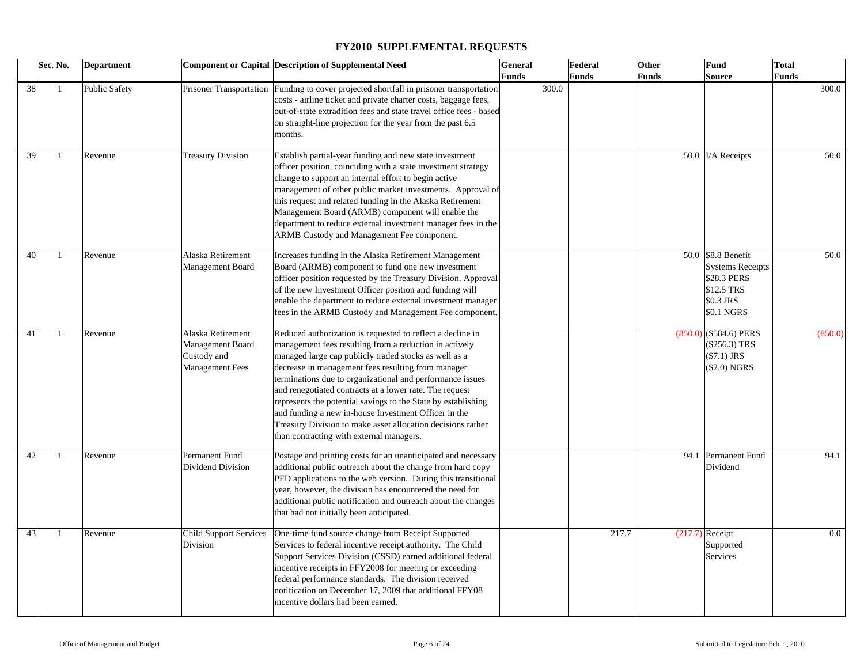| Sec. No. |              | <b>Department</b>    |                                                                                | <b>Component or Capital Description of Supplemental Need</b>                                                                                                                                                                                                                                                                                                                                                                                                                                                                                                                                    | <b>General</b>        | Federal      | Other        | Fund                                                                                                  | <b>Total</b>          |
|----------|--------------|----------------------|--------------------------------------------------------------------------------|-------------------------------------------------------------------------------------------------------------------------------------------------------------------------------------------------------------------------------------------------------------------------------------------------------------------------------------------------------------------------------------------------------------------------------------------------------------------------------------------------------------------------------------------------------------------------------------------------|-----------------------|--------------|--------------|-------------------------------------------------------------------------------------------------------|-----------------------|
| 38       | $\mathbf{1}$ | <b>Public Safety</b> |                                                                                | Prisoner Transportation Funding to cover projected shortfall in prisoner transportation<br>costs - airline ticket and private charter costs, baggage fees,<br>out-of-state extradition fees and state travel office fees - based<br>on straight-line projection for the year from the past 6.5<br>months.                                                                                                                                                                                                                                                                                       | <b>Funds</b><br>300.0 | <b>Funds</b> | <b>Funds</b> | <b>Source</b>                                                                                         | <b>Funds</b><br>300.0 |
| 39       | 1            | Revenue              | <b>Treasury Division</b>                                                       | Establish partial-year funding and new state investment<br>officer position, coinciding with a state investment strategy<br>change to support an internal effort to begin active<br>management of other public market investments. Approval of<br>this request and related funding in the Alaska Retirement<br>Management Board (ARMB) component will enable the<br>department to reduce external investment manager fees in the<br>ARMB Custody and Management Fee component.                                                                                                                  |                       |              |              | 50.0 I/A Receipts                                                                                     | 50.0                  |
| 40       | $\mathbf{1}$ | Revenue              | Alaska Retirement<br>Management Board                                          | Increases funding in the Alaska Retirement Management<br>Board (ARMB) component to fund one new investment<br>officer position requested by the Treasury Division. Approval<br>of the new Investment Officer position and funding will<br>enable the department to reduce external investment manager<br>fees in the ARMB Custody and Management Fee component.                                                                                                                                                                                                                                 |                       |              |              | 50.0 \$8.8 Benefit<br><b>Systems Receipts</b><br>\$28.3 PERS<br>\$12.5 TRS<br>\$0.3 JRS<br>\$0.1 NGRS | 50.0                  |
| 41       | $\mathbf{1}$ | Revenue              | Alaska Retirement<br>Management Board<br>Custody and<br><b>Management Fees</b> | Reduced authorization is requested to reflect a decline in<br>management fees resulting from a reduction in actively<br>managed large cap publicly traded stocks as well as a<br>decrease in management fees resulting from manager<br>terminations due to organizational and performance issues<br>and renegotiated contracts at a lower rate. The request<br>represents the potential savings to the State by establishing<br>and funding a new in-house Investment Officer in the<br>Treasury Division to make asset allocation decisions rather<br>than contracting with external managers. |                       |              |              | $(850.0)$ (\$584.6) PERS<br>(\$256.3) TRS<br>$($7.1)$ JRS<br>(\$2.0) NGRS                             | (850.0)               |
| 42       | $\mathbf{1}$ | Revenue              | Permanent Fund<br>Dividend Division                                            | Postage and printing costs for an unanticipated and necessary<br>additional public outreach about the change from hard copy<br>PFD applications to the web version. During this transitional<br>year, however, the division has encountered the need for<br>additional public notification and outreach about the changes<br>that had not initially been anticipated.                                                                                                                                                                                                                           |                       |              |              | 94.1 Permanent Fund<br>Dividend                                                                       | 94.1                  |
| 43       | -1           | Revenue              | <b>Child Support Services</b><br>Division                                      | One-time fund source change from Receipt Supported<br>Services to federal incentive receipt authority. The Child<br>Support Services Division (CSSD) earned additional federal<br>incentive receipts in FFY2008 for meeting or exceeding<br>federal performance standards. The division received<br>notification on December 17, 2009 that additional FFY08<br>incentive dollars had been earned.                                                                                                                                                                                               |                       | 217.7        |              | $(217.7)$ Receipt<br>Supported<br>Services                                                            | $0.0\,$               |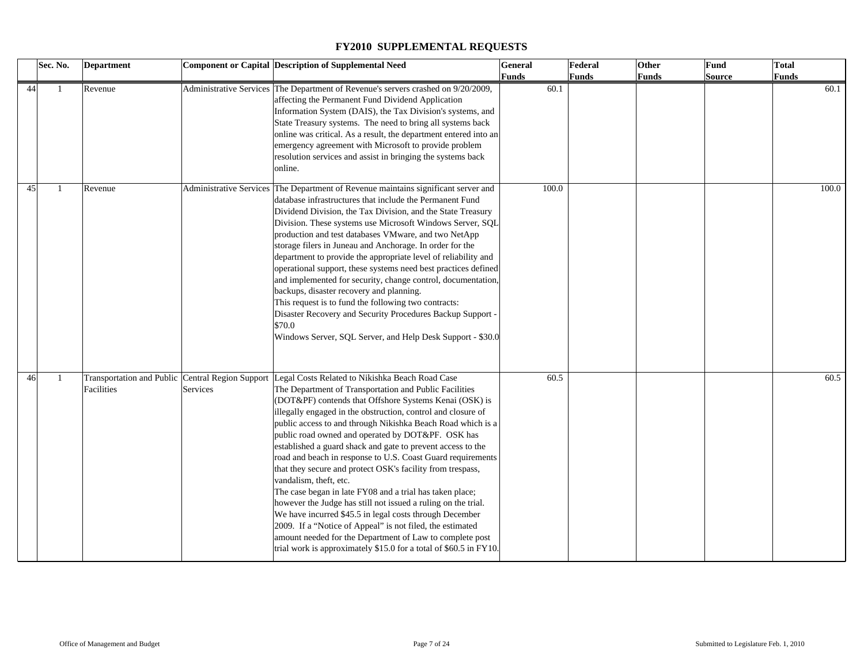|    | Sec. No. | <b>Department</b>                                              |          | <b>Component or Capital Description of Supplemental Need</b>                                                                                                                                                                                                                                                                                                                                                                                                                                                                                                                                                                                                                                                                                                                                                                                                                                                                                                        | <b>General</b><br>Funds | Federal<br><b>Funds</b> | Other<br><b>Funds</b> | <b>Fund</b><br><b>Source</b> | <b>Total</b><br><b>Funds</b> |
|----|----------|----------------------------------------------------------------|----------|---------------------------------------------------------------------------------------------------------------------------------------------------------------------------------------------------------------------------------------------------------------------------------------------------------------------------------------------------------------------------------------------------------------------------------------------------------------------------------------------------------------------------------------------------------------------------------------------------------------------------------------------------------------------------------------------------------------------------------------------------------------------------------------------------------------------------------------------------------------------------------------------------------------------------------------------------------------------|-------------------------|-------------------------|-----------------------|------------------------------|------------------------------|
| 44 | -1       | Revenue                                                        |          | Administrative Services The Department of Revenue's servers crashed on 9/20/2009,<br>affecting the Permanent Fund Dividend Application<br>Information System (DAIS), the Tax Division's systems, and<br>State Treasury systems. The need to bring all systems back<br>online was critical. As a result, the department entered into an<br>emergency agreement with Microsoft to provide problem<br>resolution services and assist in bringing the systems back<br>online.                                                                                                                                                                                                                                                                                                                                                                                                                                                                                           | 60.1                    |                         |                       |                              | 60.1                         |
| 45 |          | Revenue                                                        |          | Administrative Services The Department of Revenue maintains significant server and<br>database infrastructures that include the Permanent Fund<br>Dividend Division, the Tax Division, and the State Treasury<br>Division. These systems use Microsoft Windows Server, SQL<br>production and test databases VMware, and two NetApp<br>storage filers in Juneau and Anchorage. In order for the<br>department to provide the appropriate level of reliability and<br>operational support, these systems need best practices defined<br>and implemented for security, change control, documentation,<br>backups, disaster recovery and planning.<br>This request is to fund the following two contracts:<br>Disaster Recovery and Security Procedures Backup Support -<br>\$70.0<br>Windows Server, SQL Server, and Help Desk Support - \$30.0                                                                                                                        | 100.0                   |                         |                       |                              | 100.0                        |
| 46 | -1       | Transportation and Public Central Region Support<br>Facilities | Services | Legal Costs Related to Nikishka Beach Road Case<br>The Department of Transportation and Public Facilities<br>(DOT&PF) contends that Offshore Systems Kenai (OSK) is<br>illegally engaged in the obstruction, control and closure of<br>public access to and through Nikishka Beach Road which is a<br>public road owned and operated by DOT&PF. OSK has<br>established a guard shack and gate to prevent access to the<br>road and beach in response to U.S. Coast Guard requirements<br>that they secure and protect OSK's facility from trespass,<br>vandalism, theft, etc.<br>The case began in late FY08 and a trial has taken place;<br>however the Judge has still not issued a ruling on the trial.<br>We have incurred \$45.5 in legal costs through December<br>2009. If a "Notice of Appeal" is not filed, the estimated<br>amount needed for the Department of Law to complete post<br>trial work is approximately \$15.0 for a total of \$60.5 in FY10. | 60.5                    |                         |                       |                              | 60.5                         |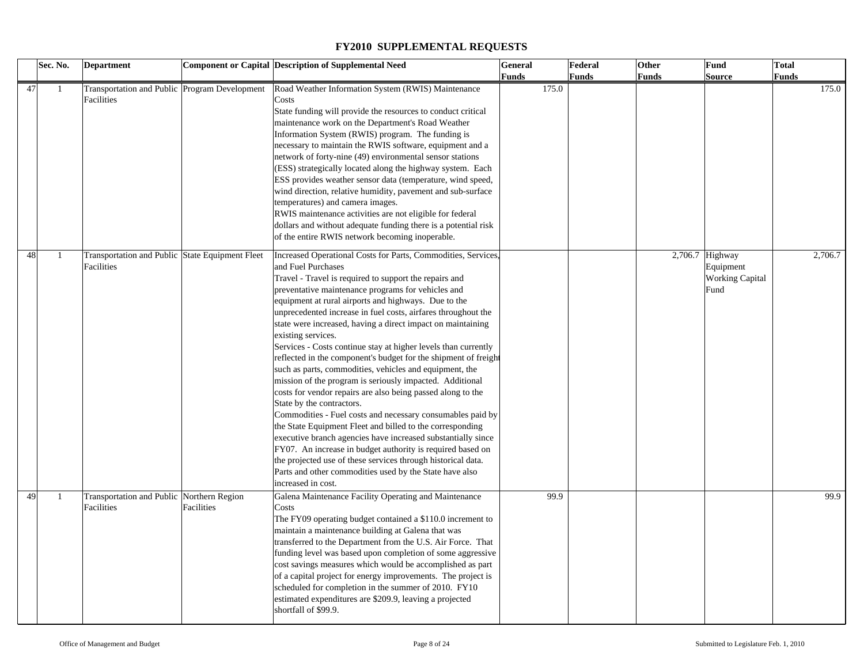|    | Sec. No.     | <b>Department</b>                               |            | <b>Component or Capital Description of Supplemental Need</b>    | <b>General</b> | Federal      | Other        | Fund                   | <b>Total</b> |         |
|----|--------------|-------------------------------------------------|------------|-----------------------------------------------------------------|----------------|--------------|--------------|------------------------|--------------|---------|
|    |              |                                                 |            |                                                                 | <b>Funds</b>   | <b>Funds</b> | <b>Funds</b> | <b>Source</b>          | <b>Funds</b> |         |
| 47 | -1           | Transportation and Public Program Development   |            | Road Weather Information System (RWIS) Maintenance              | 175.0          |              |              |                        |              | 175.0   |
|    |              | Facilities                                      |            | Costs                                                           |                |              |              |                        |              |         |
|    |              |                                                 |            | State funding will provide the resources to conduct critical    |                |              |              |                        |              |         |
|    |              |                                                 |            | maintenance work on the Department's Road Weather               |                |              |              |                        |              |         |
|    |              |                                                 |            | Information System (RWIS) program. The funding is               |                |              |              |                        |              |         |
|    |              |                                                 |            | necessary to maintain the RWIS software, equipment and a        |                |              |              |                        |              |         |
|    |              |                                                 |            | network of forty-nine (49) environmental sensor stations        |                |              |              |                        |              |         |
|    |              |                                                 |            | (ESS) strategically located along the highway system. Each      |                |              |              |                        |              |         |
|    |              |                                                 |            | ESS provides weather sensor data (temperature, wind speed,      |                |              |              |                        |              |         |
|    |              |                                                 |            | wind direction, relative humidity, pavement and sub-surface     |                |              |              |                        |              |         |
|    |              |                                                 |            | temperatures) and camera images.                                |                |              |              |                        |              |         |
|    |              |                                                 |            | RWIS maintenance activities are not eligible for federal        |                |              |              |                        |              |         |
|    |              |                                                 |            | dollars and without adequate funding there is a potential risk  |                |              |              |                        |              |         |
|    |              |                                                 |            | of the entire RWIS network becoming inoperable.                 |                |              |              |                        |              |         |
|    |              |                                                 |            |                                                                 |                |              |              |                        |              |         |
| 48 | $\mathbf{1}$ | Transportation and Public State Equipment Fleet |            | Increased Operational Costs for Parts, Commodities, Services,   |                |              |              | $2,706.7$ Highway      |              | 2,706.7 |
|    |              | Facilities                                      |            | and Fuel Purchases                                              |                |              |              | Equipment              |              |         |
|    |              |                                                 |            | Travel - Travel is required to support the repairs and          |                |              |              | <b>Working Capital</b> |              |         |
|    |              |                                                 |            | preventative maintenance programs for vehicles and              |                |              |              | Fund                   |              |         |
|    |              |                                                 |            | equipment at rural airports and highways. Due to the            |                |              |              |                        |              |         |
|    |              |                                                 |            | unprecedented increase in fuel costs, airfares throughout the   |                |              |              |                        |              |         |
|    |              |                                                 |            | state were increased, having a direct impact on maintaining     |                |              |              |                        |              |         |
|    |              |                                                 |            | existing services.                                              |                |              |              |                        |              |         |
|    |              |                                                 |            | Services - Costs continue stay at higher levels than currently  |                |              |              |                        |              |         |
|    |              |                                                 |            | reflected in the component's budget for the shipment of freight |                |              |              |                        |              |         |
|    |              |                                                 |            | such as parts, commodities, vehicles and equipment, the         |                |              |              |                        |              |         |
|    |              |                                                 |            | mission of the program is seriously impacted. Additional        |                |              |              |                        |              |         |
|    |              |                                                 |            | costs for vendor repairs are also being passed along to the     |                |              |              |                        |              |         |
|    |              |                                                 |            | State by the contractors.                                       |                |              |              |                        |              |         |
|    |              |                                                 |            | Commodities - Fuel costs and necessary consumables paid by      |                |              |              |                        |              |         |
|    |              |                                                 |            | the State Equipment Fleet and billed to the corresponding       |                |              |              |                        |              |         |
|    |              |                                                 |            | executive branch agencies have increased substantially since    |                |              |              |                        |              |         |
|    |              |                                                 |            | FY07. An increase in budget authority is required based on      |                |              |              |                        |              |         |
|    |              |                                                 |            | the projected use of these services through historical data.    |                |              |              |                        |              |         |
|    |              |                                                 |            | Parts and other commodities used by the State have also         |                |              |              |                        |              |         |
|    |              |                                                 |            | increased in cost.                                              |                |              |              |                        |              |         |
| 49 | -1           | Transportation and Public Northern Region       |            | Galena Maintenance Facility Operating and Maintenance           | 99.9           |              |              |                        |              | 99.9    |
|    |              | Facilities                                      | Facilities | Costs                                                           |                |              |              |                        |              |         |
|    |              |                                                 |            | The FY09 operating budget contained a \$110.0 increment to      |                |              |              |                        |              |         |
|    |              |                                                 |            | maintain a maintenance building at Galena that was              |                |              |              |                        |              |         |
|    |              |                                                 |            | transferred to the Department from the U.S. Air Force. That     |                |              |              |                        |              |         |
|    |              |                                                 |            | funding level was based upon completion of some aggressive      |                |              |              |                        |              |         |
|    |              |                                                 |            | cost savings measures which would be accomplished as part       |                |              |              |                        |              |         |
|    |              |                                                 |            | of a capital project for energy improvements. The project is    |                |              |              |                        |              |         |
|    |              |                                                 |            | scheduled for completion in the summer of 2010. FY10            |                |              |              |                        |              |         |
|    |              |                                                 |            | estimated expenditures are \$209.9, leaving a projected         |                |              |              |                        |              |         |
|    |              |                                                 |            | shortfall of \$99.9.                                            |                |              |              |                        |              |         |
|    |              |                                                 |            |                                                                 |                |              |              |                        |              |         |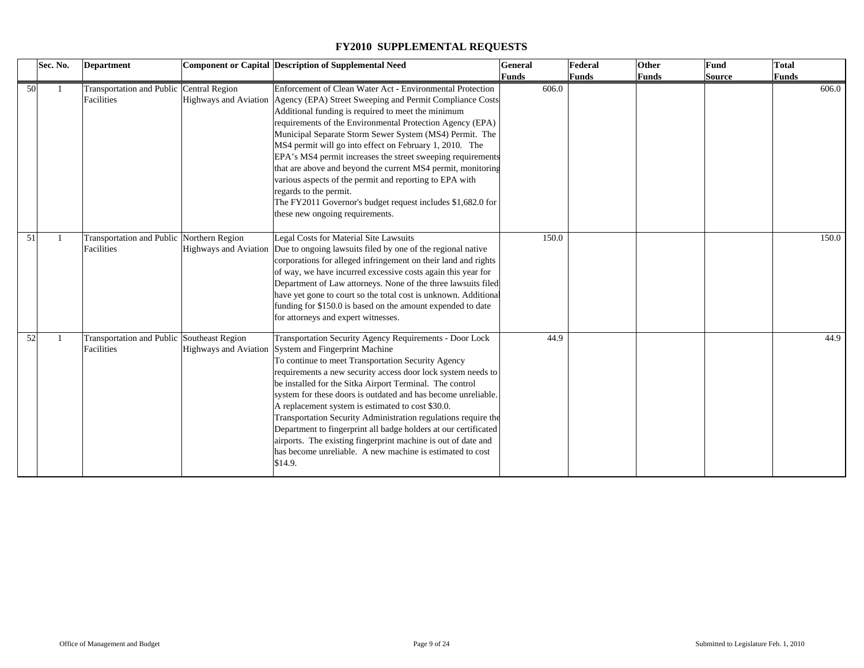|    | Sec. No. | <b>Department</b>                                        | <b>Component or Capital Description of Supplemental Need</b>                                                                                                                                                                                                                                                                                                                                                                                                                                                                                                                                                                                                                                                 | General<br>Funds | Federal<br>Funds | Other<br>Funds | Fund<br><b>Source</b> | <b>Total</b><br><b>Funds</b> |       |
|----|----------|----------------------------------------------------------|--------------------------------------------------------------------------------------------------------------------------------------------------------------------------------------------------------------------------------------------------------------------------------------------------------------------------------------------------------------------------------------------------------------------------------------------------------------------------------------------------------------------------------------------------------------------------------------------------------------------------------------------------------------------------------------------------------------|------------------|------------------|----------------|-----------------------|------------------------------|-------|
| 50 |          | Transportation and Public Central Region<br>Facilities   | Enforcement of Clean Water Act - Environmental Protection<br>Highways and Aviation   Agency (EPA) Street Sweeping and Permit Compliance Costs<br>Additional funding is required to meet the minimum<br>requirements of the Environmental Protection Agency (EPA)<br>Municipal Separate Storm Sewer System (MS4) Permit. The<br>MS4 permit will go into effect on February 1, 2010. The<br>EPA's MS4 permit increases the street sweeping requirements<br>that are above and beyond the current MS4 permit, monitoring<br>various aspects of the permit and reporting to EPA with<br>regards to the permit.<br>The FY2011 Governor's budget request includes \$1,682.0 for<br>these new ongoing requirements. | 606.0            |                  |                |                       |                              | 606.0 |
| 51 |          | Transportation and Public Northern Region<br>Facilities  | Legal Costs for Material Site Lawsuits<br>Highways and Aviation Due to ongoing lawsuits filed by one of the regional native<br>corporations for alleged infringement on their land and rights<br>of way, we have incurred excessive costs again this year for<br>Department of Law attorneys. None of the three lawsuits filed<br>have yet gone to court so the total cost is unknown. Additional<br>funding for \$150.0 is based on the amount expended to date<br>for attorneys and expert witnesses.                                                                                                                                                                                                      | 150.0            |                  |                |                       |                              | 150.0 |
| 52 |          | Transportation and Public Southeast Region<br>Facilities | Transportation Security Agency Requirements - Door Lock<br>Highways and Aviation System and Fingerprint Machine<br>To continue to meet Transportation Security Agency<br>requirements a new security access door lock system needs to<br>be installed for the Sitka Airport Terminal. The control<br>system for these doors is outdated and has become unreliable.<br>A replacement system is estimated to cost \$30.0.<br>Transportation Security Administration regulations require the<br>Department to fingerprint all badge holders at our certificated<br>airports. The existing fingerprint machine is out of date and<br>has become unreliable. A new machine is estimated to cost<br>\$14.9.        | 44.9             |                  |                |                       |                              | 44.9  |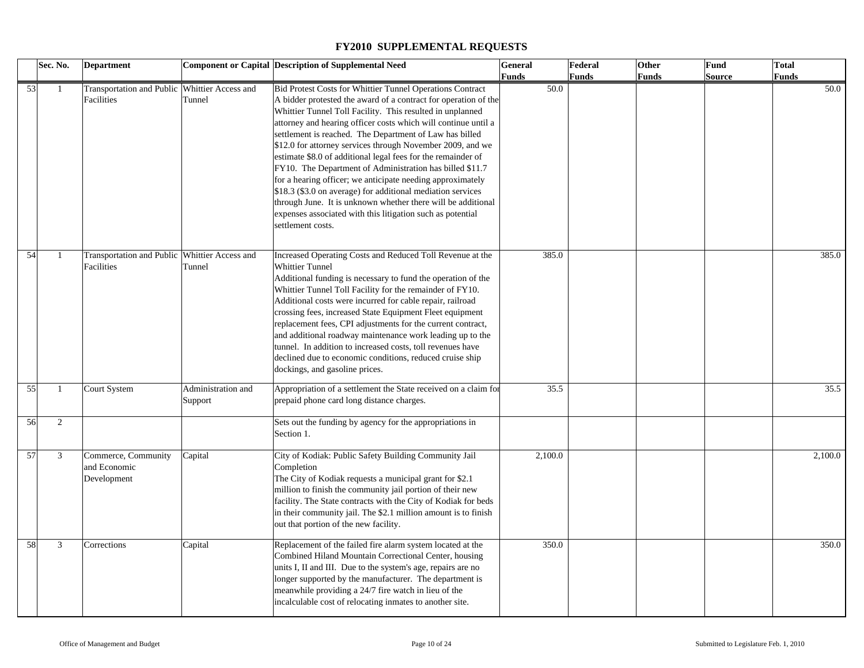|    | Sec. No.     | <b>Department</b>                             |                    | <b>Component or Capital Description of Supplemental Need</b>    | <b>General</b> | Federal      | Other        | Fund   | Total   |
|----|--------------|-----------------------------------------------|--------------------|-----------------------------------------------------------------|----------------|--------------|--------------|--------|---------|
|    |              |                                               |                    |                                                                 | <b>Funds</b>   | <b>Funds</b> | <b>Funds</b> | Source | Funds   |
| 53 | $\mathbf{1}$ | Transportation and Public Whittier Access and |                    | Bid Protest Costs for Whittier Tunnel Operations Contract       | 50.0           |              |              |        | 50.0    |
|    |              | Facilities                                    | Tunnel             | A bidder protested the award of a contract for operation of the |                |              |              |        |         |
|    |              |                                               |                    | Whittier Tunnel Toll Facility. This resulted in unplanned       |                |              |              |        |         |
|    |              |                                               |                    | attorney and hearing officer costs which will continue until a  |                |              |              |        |         |
|    |              |                                               |                    | settlement is reached. The Department of Law has billed         |                |              |              |        |         |
|    |              |                                               |                    | \$12.0 for attorney services through November 2009, and we      |                |              |              |        |         |
|    |              |                                               |                    | estimate \$8.0 of additional legal fees for the remainder of    |                |              |              |        |         |
|    |              |                                               |                    | FY10. The Department of Administration has billed \$11.7        |                |              |              |        |         |
|    |              |                                               |                    | for a hearing officer; we anticipate needing approximately      |                |              |              |        |         |
|    |              |                                               |                    | \$18.3 (\$3.0 on average) for additional mediation services     |                |              |              |        |         |
|    |              |                                               |                    |                                                                 |                |              |              |        |         |
|    |              |                                               |                    | through June. It is unknown whether there will be additional    |                |              |              |        |         |
|    |              |                                               |                    | expenses associated with this litigation such as potential      |                |              |              |        |         |
|    |              |                                               |                    | settlement costs.                                               |                |              |              |        |         |
|    |              |                                               |                    |                                                                 |                |              |              |        |         |
| 54 | $\mathbf{1}$ | Transportation and Public Whittier Access and |                    | Increased Operating Costs and Reduced Toll Revenue at the       | 385.0          |              |              |        | 385.0   |
|    |              | Facilities                                    | Tunnel             | <b>Whittier Tunnel</b>                                          |                |              |              |        |         |
|    |              |                                               |                    | Additional funding is necessary to fund the operation of the    |                |              |              |        |         |
|    |              |                                               |                    | Whittier Tunnel Toll Facility for the remainder of FY10.        |                |              |              |        |         |
|    |              |                                               |                    | Additional costs were incurred for cable repair, railroad       |                |              |              |        |         |
|    |              |                                               |                    | crossing fees, increased State Equipment Fleet equipment        |                |              |              |        |         |
|    |              |                                               |                    | replacement fees, CPI adjustments for the current contract,     |                |              |              |        |         |
|    |              |                                               |                    | and additional roadway maintenance work leading up to the       |                |              |              |        |         |
|    |              |                                               |                    | tunnel. In addition to increased costs, toll revenues have      |                |              |              |        |         |
|    |              |                                               |                    |                                                                 |                |              |              |        |         |
|    |              |                                               |                    | declined due to economic conditions, reduced cruise ship        |                |              |              |        |         |
|    |              |                                               |                    | dockings, and gasoline prices.                                  |                |              |              |        |         |
| 55 | $\mathbf{1}$ | Court System                                  | Administration and | Appropriation of a settlement the State received on a claim for | 35.5           |              |              |        | 35.5    |
|    |              |                                               | Support            | prepaid phone card long distance charges.                       |                |              |              |        |         |
|    |              |                                               |                    |                                                                 |                |              |              |        |         |
| 56 | 2            |                                               |                    | Sets out the funding by agency for the appropriations in        |                |              |              |        |         |
|    |              |                                               |                    | Section 1.                                                      |                |              |              |        |         |
|    |              |                                               |                    |                                                                 |                |              |              |        |         |
| 57 | 3            | Commerce, Community                           | Capital            | City of Kodiak: Public Safety Building Community Jail           | 2,100.0        |              |              |        | 2,100.0 |
|    |              | and Economic                                  |                    | Completion                                                      |                |              |              |        |         |
|    |              | Development                                   |                    | The City of Kodiak requests a municipal grant for \$2.1         |                |              |              |        |         |
|    |              |                                               |                    | million to finish the community jail portion of their new       |                |              |              |        |         |
|    |              |                                               |                    | facility. The State contracts with the City of Kodiak for beds  |                |              |              |        |         |
|    |              |                                               |                    | in their community jail. The \$2.1 million amount is to finish  |                |              |              |        |         |
|    |              |                                               |                    | out that portion of the new facility.                           |                |              |              |        |         |
|    |              |                                               |                    |                                                                 |                |              |              |        |         |
| 58 | 3            | Corrections                                   | Capital            | Replacement of the failed fire alarm system located at the      | 350.0          |              |              |        | 350.0   |
|    |              |                                               |                    | Combined Hiland Mountain Correctional Center, housing           |                |              |              |        |         |
|    |              |                                               |                    | units I, II and III. Due to the system's age, repairs are no    |                |              |              |        |         |
|    |              |                                               |                    | longer supported by the manufacturer. The department is         |                |              |              |        |         |
|    |              |                                               |                    | meanwhile providing a 24/7 fire watch in lieu of the            |                |              |              |        |         |
|    |              |                                               |                    | incalculable cost of relocating inmates to another site.        |                |              |              |        |         |
|    |              |                                               |                    |                                                                 |                |              |              |        |         |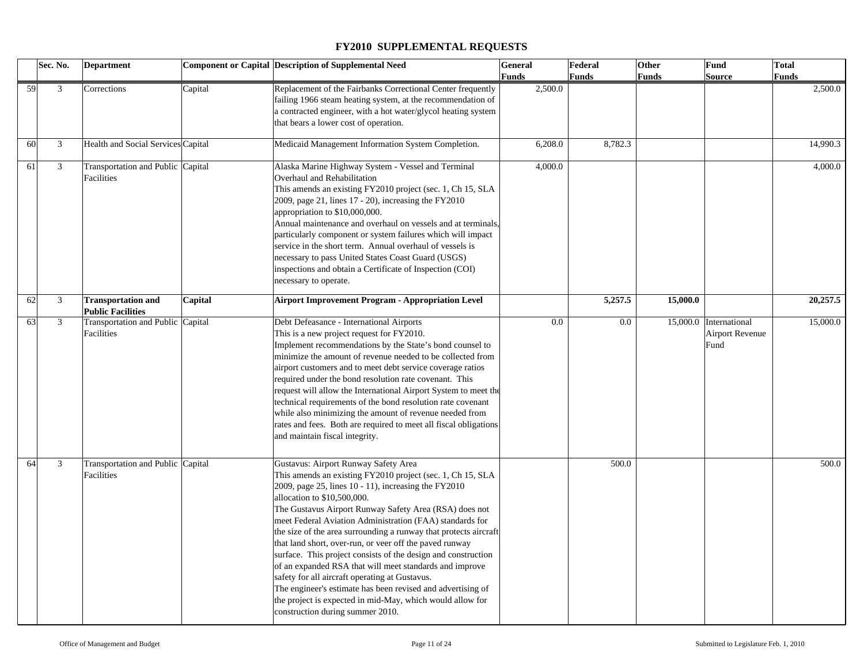|    | Sec. No. | <b>Department</b>                  |         | <b>Component or Capital Description of Supplemental Need</b>     | <b>General</b> | Federal      | Other        | Fund                           | <b>Total</b> |          |
|----|----------|------------------------------------|---------|------------------------------------------------------------------|----------------|--------------|--------------|--------------------------------|--------------|----------|
|    |          |                                    |         |                                                                  | Funds          | <b>Funds</b> | <b>Funds</b> | <b>Source</b>                  | <b>Funds</b> |          |
|    | 59<br>3  | Corrections                        | Capital | Replacement of the Fairbanks Correctional Center frequently      | 2,500.0        |              |              |                                |              | 2,500.0  |
|    |          |                                    |         | failing 1966 steam heating system, at the recommendation of      |                |              |              |                                |              |          |
|    |          |                                    |         | a contracted engineer, with a hot water/glycol heating system    |                |              |              |                                |              |          |
|    |          |                                    |         | that bears a lower cost of operation.                            |                |              |              |                                |              |          |
|    |          |                                    |         |                                                                  |                |              |              |                                |              |          |
| 60 | 3        | Health and Social Services Capital |         | Medicaid Management Information System Completion.               | 6,208.0        | 8,782.3      |              |                                |              | 14,990.3 |
| 61 | 3        | Transportation and Public Capital  |         | Alaska Marine Highway System - Vessel and Terminal               | 4,000.0        |              |              |                                |              | 4,000.0  |
|    |          | Facilities                         |         | Overhaul and Rehabilitation                                      |                |              |              |                                |              |          |
|    |          |                                    |         | This amends an existing FY2010 project (sec. 1, Ch 15, SLA       |                |              |              |                                |              |          |
|    |          |                                    |         | 2009, page 21, lines 17 - 20), increasing the FY2010             |                |              |              |                                |              |          |
|    |          |                                    |         | appropriation to \$10,000,000.                                   |                |              |              |                                |              |          |
|    |          |                                    |         | Annual maintenance and overhaul on vessels and at terminals,     |                |              |              |                                |              |          |
|    |          |                                    |         | particularly component or system failures which will impact      |                |              |              |                                |              |          |
|    |          |                                    |         | service in the short term. Annual overhaul of vessels is         |                |              |              |                                |              |          |
|    |          |                                    |         | necessary to pass United States Coast Guard (USGS)               |                |              |              |                                |              |          |
|    |          |                                    |         | inspections and obtain a Certificate of Inspection (COI)         |                |              |              |                                |              |          |
|    |          |                                    |         | necessary to operate.                                            |                |              |              |                                |              |          |
|    |          |                                    |         |                                                                  |                |              |              |                                |              |          |
|    | 62<br>3  | <b>Transportation and</b>          | Capital | <b>Airport Improvement Program - Appropriation Level</b>         |                | 5,257.5      | 15,000.0     |                                |              | 20,257.5 |
| 63 | 3        | <b>Public Facilities</b>           |         |                                                                  | 0.0            | 0.0          |              |                                |              | 15,000.0 |
|    |          | Transportation and Public Capital  |         | Debt Defeasance - International Airports                         |                |              |              | 15,000.0 International         |              |          |
|    |          | Facilities                         |         | This is a new project request for FY2010.                        |                |              |              | <b>Airport Revenue</b><br>Fund |              |          |
|    |          |                                    |         | Implement recommendations by the State's bond counsel to         |                |              |              |                                |              |          |
|    |          |                                    |         | minimize the amount of revenue needed to be collected from       |                |              |              |                                |              |          |
|    |          |                                    |         | airport customers and to meet debt service coverage ratios       |                |              |              |                                |              |          |
|    |          |                                    |         | required under the bond resolution rate covenant. This           |                |              |              |                                |              |          |
|    |          |                                    |         | request will allow the International Airport System to meet the  |                |              |              |                                |              |          |
|    |          |                                    |         | technical requirements of the bond resolution rate covenant      |                |              |              |                                |              |          |
|    |          |                                    |         | while also minimizing the amount of revenue needed from          |                |              |              |                                |              |          |
|    |          |                                    |         | rates and fees. Both are required to meet all fiscal obligations |                |              |              |                                |              |          |
|    |          |                                    |         | and maintain fiscal integrity.                                   |                |              |              |                                |              |          |
|    |          |                                    |         |                                                                  |                |              |              |                                |              |          |
| 64 | 3        | Transportation and Public Capital  |         | Gustavus: Airport Runway Safety Area                             |                | 500.0        |              |                                |              | 500.0    |
|    |          | Facilities                         |         | This amends an existing FY2010 project (sec. 1, Ch 15, SLA       |                |              |              |                                |              |          |
|    |          |                                    |         | 2009, page 25, lines 10 - 11), increasing the FY2010             |                |              |              |                                |              |          |
|    |          |                                    |         | allocation to \$10,500,000.                                      |                |              |              |                                |              |          |
|    |          |                                    |         | The Gustavus Airport Runway Safety Area (RSA) does not           |                |              |              |                                |              |          |
|    |          |                                    |         | meet Federal Aviation Administration (FAA) standards for         |                |              |              |                                |              |          |
|    |          |                                    |         | the size of the area surrounding a runway that protects aircraft |                |              |              |                                |              |          |
|    |          |                                    |         | that land short, over-run, or veer off the paved runway          |                |              |              |                                |              |          |
|    |          |                                    |         | surface. This project consists of the design and construction    |                |              |              |                                |              |          |
|    |          |                                    |         | of an expanded RSA that will meet standards and improve          |                |              |              |                                |              |          |
|    |          |                                    |         | safety for all aircraft operating at Gustavus.                   |                |              |              |                                |              |          |
|    |          |                                    |         | The engineer's estimate has been revised and advertising of      |                |              |              |                                |              |          |
|    |          |                                    |         | the project is expected in mid-May, which would allow for        |                |              |              |                                |              |          |
|    |          |                                    |         | construction during summer 2010.                                 |                |              |              |                                |              |          |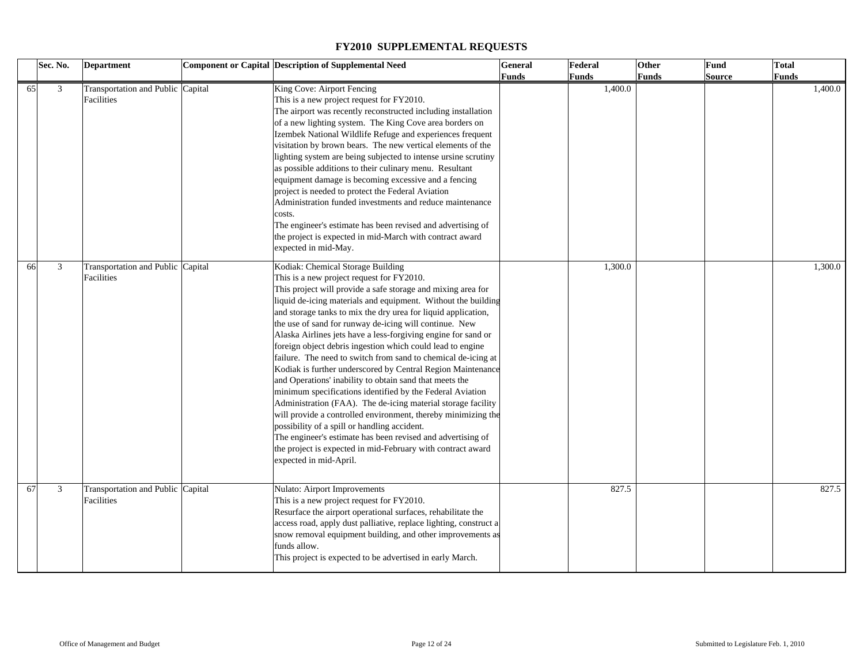|    | Sec. No. | <b>Department</b>                               | <b>Component or Capital Description of Supplemental Need</b>                                                                                                                                                                                                                                                                                                                                                                                                                                                                                                                                                                                                                                                                                                                                                                                                                                                                                                                                                                                                               | <b>General</b> | Federal | Other        | Fund   | <b>Total</b> |
|----|----------|-------------------------------------------------|----------------------------------------------------------------------------------------------------------------------------------------------------------------------------------------------------------------------------------------------------------------------------------------------------------------------------------------------------------------------------------------------------------------------------------------------------------------------------------------------------------------------------------------------------------------------------------------------------------------------------------------------------------------------------------------------------------------------------------------------------------------------------------------------------------------------------------------------------------------------------------------------------------------------------------------------------------------------------------------------------------------------------------------------------------------------------|----------------|---------|--------------|--------|--------------|
|    |          |                                                 |                                                                                                                                                                                                                                                                                                                                                                                                                                                                                                                                                                                                                                                                                                                                                                                                                                                                                                                                                                                                                                                                            | Funds          | Funds   | <b>Funds</b> | Source | Funds        |
| 65 | 3        | Transportation and Public Capital<br>Facilities | King Cove: Airport Fencing<br>This is a new project request for FY2010.<br>The airport was recently reconstructed including installation<br>of a new lighting system. The King Cove area borders on<br>Izembek National Wildlife Refuge and experiences frequent<br>visitation by brown bears. The new vertical elements of the<br>lighting system are being subjected to intense ursine scrutiny<br>as possible additions to their culinary menu. Resultant<br>equipment damage is becoming excessive and a fencing<br>project is needed to protect the Federal Aviation<br>Administration funded investments and reduce maintenance<br>costs.<br>The engineer's estimate has been revised and advertising of<br>the project is expected in mid-March with contract award<br>expected in mid-May.                                                                                                                                                                                                                                                                         |                | 1,400.0 |              |        | 1,400.0      |
| 66 | 3        | Transportation and Public Capital<br>Facilities | Kodiak: Chemical Storage Building<br>This is a new project request for FY2010.<br>This project will provide a safe storage and mixing area for<br>liquid de-icing materials and equipment. Without the building<br>and storage tanks to mix the dry urea for liquid application,<br>the use of sand for runway de-icing will continue. New<br>Alaska Airlines jets have a less-forgiving engine for sand or<br>foreign object debris ingestion which could lead to engine<br>failure. The need to switch from sand to chemical de-icing at<br>Kodiak is further underscored by Central Region Maintenance<br>and Operations' inability to obtain sand that meets the<br>minimum specifications identified by the Federal Aviation<br>Administration (FAA). The de-icing material storage facility<br>will provide a controlled environment, thereby minimizing the<br>possibility of a spill or handling accident.<br>The engineer's estimate has been revised and advertising of<br>the project is expected in mid-February with contract award<br>expected in mid-April. |                | 1,300.0 |              |        | 1,300.0      |
| 67 | 3        | Transportation and Public Capital<br>Facilities | Nulato: Airport Improvements<br>This is a new project request for FY2010.<br>Resurface the airport operational surfaces, rehabilitate the<br>access road, apply dust palliative, replace lighting, construct a<br>snow removal equipment building, and other improvements as<br>funds allow.<br>This project is expected to be advertised in early March.                                                                                                                                                                                                                                                                                                                                                                                                                                                                                                                                                                                                                                                                                                                  |                | 827.5   |              |        | 827.5        |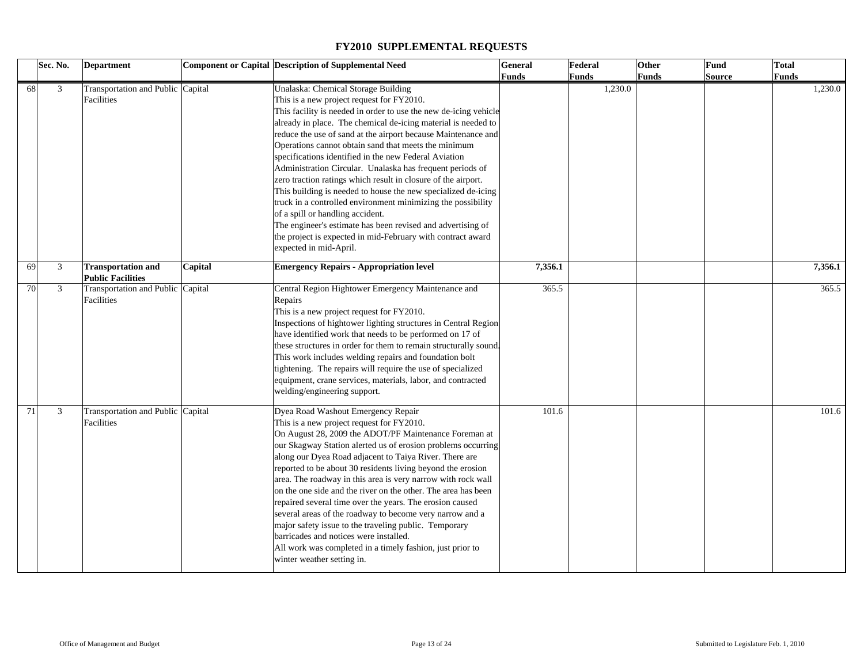|    | Sec. No. | <b>Department</b>                                     |         | <b>Component or Capital Description of Supplemental Need</b>                                                                                                                                                                                                                                                                                                                                                                                                                                                                                                                                                                                                                                                                                                                                                                                                       | <b>General</b> | Federal | <b>Other</b> | Fund   | Total   |
|----|----------|-------------------------------------------------------|---------|--------------------------------------------------------------------------------------------------------------------------------------------------------------------------------------------------------------------------------------------------------------------------------------------------------------------------------------------------------------------------------------------------------------------------------------------------------------------------------------------------------------------------------------------------------------------------------------------------------------------------------------------------------------------------------------------------------------------------------------------------------------------------------------------------------------------------------------------------------------------|----------------|---------|--------------|--------|---------|
|    |          |                                                       |         |                                                                                                                                                                                                                                                                                                                                                                                                                                                                                                                                                                                                                                                                                                                                                                                                                                                                    | <b>Funds</b>   | Funds   | <b>Funds</b> | Source | Funds   |
| 68 | 3        | Transportation and Public Capital<br>Facilities       |         | Unalaska: Chemical Storage Building<br>This is a new project request for FY2010.<br>This facility is needed in order to use the new de-icing vehicle<br>already in place. The chemical de-icing material is needed to<br>reduce the use of sand at the airport because Maintenance and<br>Operations cannot obtain sand that meets the minimum<br>specifications identified in the new Federal Aviation<br>Administration Circular. Unalaska has frequent periods of<br>zero traction ratings which result in closure of the airport.<br>This building is needed to house the new specialized de-icing<br>truck in a controlled environment minimizing the possibility<br>of a spill or handling accident.<br>The engineer's estimate has been revised and advertising of<br>the project is expected in mid-February with contract award<br>expected in mid-April. |                | 1,230.0 |              |        | 1,230.0 |
| 69 | 3        | <b>Transportation and</b><br><b>Public Facilities</b> | Capital | <b>Emergency Repairs - Appropriation level</b>                                                                                                                                                                                                                                                                                                                                                                                                                                                                                                                                                                                                                                                                                                                                                                                                                     | 7,356.1        |         |              |        | 7,356.1 |
| 70 | 3        | Transportation and Public Capital<br>Facilities       |         | Central Region Hightower Emergency Maintenance and<br>Repairs<br>This is a new project request for FY2010.<br>Inspections of hightower lighting structures in Central Region<br>have identified work that needs to be performed on 17 of<br>these structures in order for them to remain structurally sound.<br>This work includes welding repairs and foundation bolt<br>tightening. The repairs will require the use of specialized<br>equipment, crane services, materials, labor, and contracted<br>welding/engineering support.                                                                                                                                                                                                                                                                                                                               | 365.5          |         |              |        | 365.5   |
| 71 | 3        | Transportation and Public Capital<br>Facilities       |         | Dyea Road Washout Emergency Repair<br>This is a new project request for FY2010.<br>On August 28, 2009 the ADOT/PF Maintenance Foreman at<br>our Skagway Station alerted us of erosion problems occurring<br>along our Dyea Road adjacent to Taiya River. There are<br>reported to be about 30 residents living beyond the erosion<br>area. The roadway in this area is very narrow with rock wall<br>on the one side and the river on the other. The area has been<br>repaired several time over the years. The erosion caused<br>several areas of the roadway to become very narrow and a<br>major safety issue to the traveling public. Temporary<br>barricades and notices were installed.<br>All work was completed in a timely fashion, just prior to<br>winter weather setting in.                                                                           | 101.6          |         |              |        | 101.6   |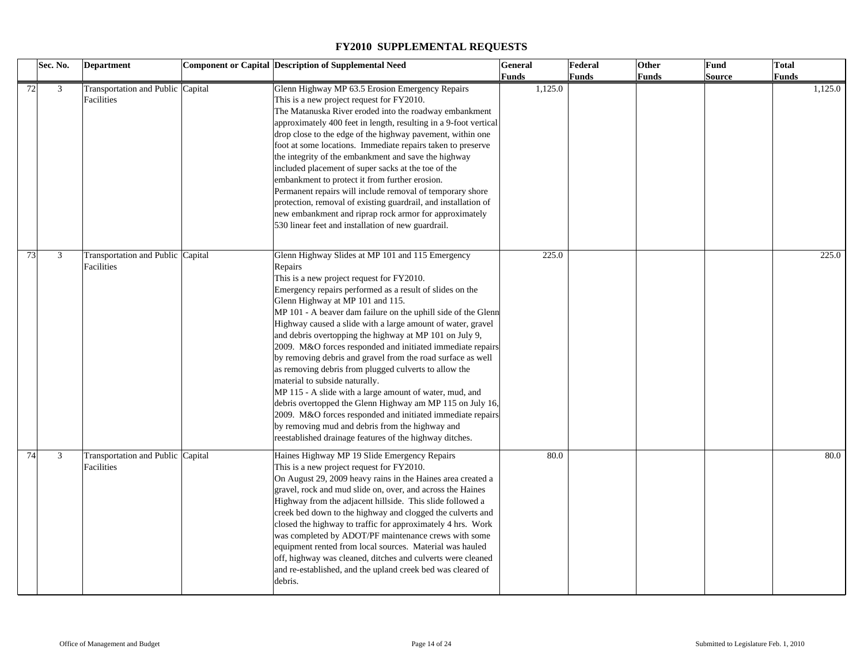|    | Sec. No.       | <b>Department</b>                               | <b>Component or Capital Description of Supplemental Need</b>                                                                                                                                                                                                                                                                                                                                                                                                                                                                                                                                                                                                                                                                                                                                                                                                                                                                    | <b>General</b> | Federal | Other        | Fund          | <b>Total</b> |
|----|----------------|-------------------------------------------------|---------------------------------------------------------------------------------------------------------------------------------------------------------------------------------------------------------------------------------------------------------------------------------------------------------------------------------------------------------------------------------------------------------------------------------------------------------------------------------------------------------------------------------------------------------------------------------------------------------------------------------------------------------------------------------------------------------------------------------------------------------------------------------------------------------------------------------------------------------------------------------------------------------------------------------|----------------|---------|--------------|---------------|--------------|
|    |                |                                                 |                                                                                                                                                                                                                                                                                                                                                                                                                                                                                                                                                                                                                                                                                                                                                                                                                                                                                                                                 | Funds          | Funds   | <b>Funds</b> | <b>Source</b> | <b>Funds</b> |
| 72 | $\mathfrak{Z}$ | Transportation and Public Capital<br>Facilities | Glenn Highway MP 63.5 Erosion Emergency Repairs<br>This is a new project request for FY2010.<br>The Matanuska River eroded into the roadway embankment<br>approximately 400 feet in length, resulting in a 9-foot vertical<br>drop close to the edge of the highway pavement, within one<br>foot at some locations. Immediate repairs taken to preserve<br>the integrity of the embankment and save the highway<br>included placement of super sacks at the toe of the<br>embankment to protect it from further erosion.<br>Permanent repairs will include removal of temporary shore<br>protection, removal of existing guardrail, and installation of<br>new embankment and riprap rock armor for approximately<br>530 linear feet and installation of new guardrail.                                                                                                                                                         | 1,125.0        |         |              |               | 1,125.0      |
| 73 | 3              | Transportation and Public Capital<br>Facilities | Glenn Highway Slides at MP 101 and 115 Emergency<br>Repairs<br>This is a new project request for FY2010.<br>Emergency repairs performed as a result of slides on the<br>Glenn Highway at MP 101 and 115.<br>MP 101 - A beaver dam failure on the uphill side of the Glenn<br>Highway caused a slide with a large amount of water, gravel<br>and debris overtopping the highway at MP 101 on July 9,<br>2009. M&O forces responded and initiated immediate repairs<br>by removing debris and gravel from the road surface as well<br>as removing debris from plugged culverts to allow the<br>material to subside naturally.<br>MP 115 - A slide with a large amount of water, mud, and<br>debris overtopped the Glenn Highway am MP 115 on July 16,<br>2009. M&O forces responded and initiated immediate repairs<br>by removing mud and debris from the highway and<br>reestablished drainage features of the highway ditches. | 225.0          |         |              |               | 225.0        |
| 74 | 3              | Transportation and Public Capital<br>Facilities | Haines Highway MP 19 Slide Emergency Repairs<br>This is a new project request for FY2010.<br>On August 29, 2009 heavy rains in the Haines area created a<br>gravel, rock and mud slide on, over, and across the Haines<br>Highway from the adjacent hillside. This slide followed a<br>creek bed down to the highway and clogged the culverts and<br>closed the highway to traffic for approximately 4 hrs. Work<br>was completed by ADOT/PF maintenance crews with some<br>equipment rented from local sources. Material was hauled<br>off, highway was cleaned, ditches and culverts were cleaned<br>and re-established, and the upland creek bed was cleared of<br>debris.                                                                                                                                                                                                                                                   | 80.0           |         |              |               | 80.0         |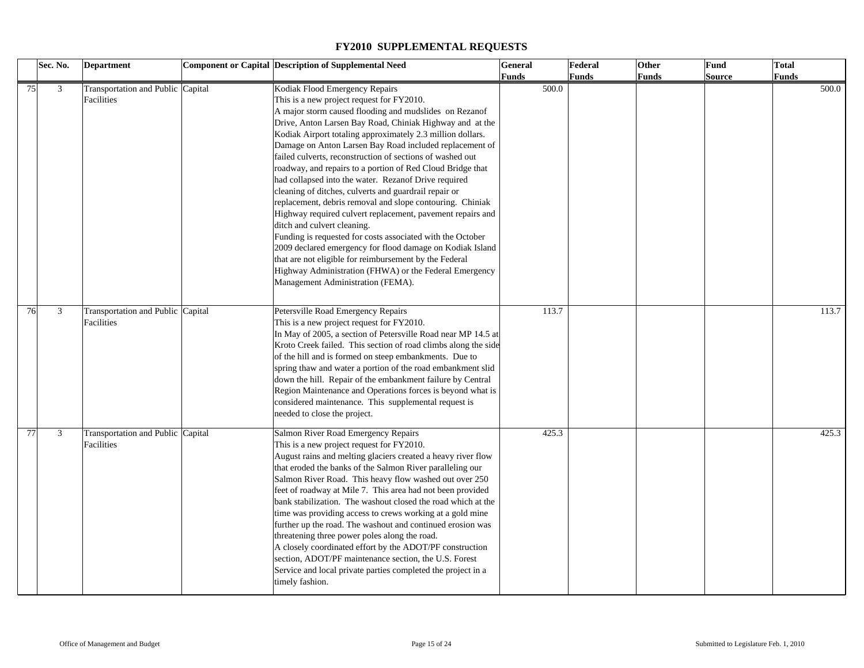|    | Sec. No. | <b>Department</b>                               | <b>Component or Capital Description of Supplemental Need</b>                                                                                                                                                                                                                                                                                                                                                                                                                                                                                                                                                                                                                                                                                                                                                                                                                                                                                                                                                         | <b>General</b> | Federal      | Other | Fund   | Total |
|----|----------|-------------------------------------------------|----------------------------------------------------------------------------------------------------------------------------------------------------------------------------------------------------------------------------------------------------------------------------------------------------------------------------------------------------------------------------------------------------------------------------------------------------------------------------------------------------------------------------------------------------------------------------------------------------------------------------------------------------------------------------------------------------------------------------------------------------------------------------------------------------------------------------------------------------------------------------------------------------------------------------------------------------------------------------------------------------------------------|----------------|--------------|-------|--------|-------|
|    |          |                                                 |                                                                                                                                                                                                                                                                                                                                                                                                                                                                                                                                                                                                                                                                                                                                                                                                                                                                                                                                                                                                                      | <b>Funds</b>   | <b>Funds</b> | Funds | Source | Funds |
|    | 3<br>75  | Transportation and Public Capital<br>Facilities | Kodiak Flood Emergency Repairs<br>This is a new project request for FY2010.<br>A major storm caused flooding and mudslides on Rezanof<br>Drive, Anton Larsen Bay Road, Chiniak Highway and at the<br>Kodiak Airport totaling approximately 2.3 million dollars.<br>Damage on Anton Larsen Bay Road included replacement of<br>failed culverts, reconstruction of sections of washed out<br>roadway, and repairs to a portion of Red Cloud Bridge that<br>had collapsed into the water. Rezanof Drive required<br>cleaning of ditches, culverts and guardrail repair or<br>replacement, debris removal and slope contouring. Chiniak<br>Highway required culvert replacement, pavement repairs and<br>ditch and culvert cleaning.<br>Funding is requested for costs associated with the October<br>2009 declared emergency for flood damage on Kodiak Island<br>that are not eligible for reimbursement by the Federal<br>Highway Administration (FHWA) or the Federal Emergency<br>Management Administration (FEMA). | 500.0          |              |       |        | 500.0 |
| 76 | 3        | Transportation and Public Capital<br>Facilities | Petersville Road Emergency Repairs<br>This is a new project request for FY2010.<br>In May of 2005, a section of Petersville Road near MP 14.5 at<br>Kroto Creek failed. This section of road climbs along the side<br>of the hill and is formed on steep embankments. Due to<br>spring thaw and water a portion of the road embankment slid<br>down the hill. Repair of the embankment failure by Central<br>Region Maintenance and Operations forces is beyond what is<br>considered maintenance. This supplemental request is<br>needed to close the project.                                                                                                                                                                                                                                                                                                                                                                                                                                                      | 113.7          |              |       |        | 113.7 |
| 77 | 3        | Transportation and Public Capital<br>Facilities | Salmon River Road Emergency Repairs<br>This is a new project request for FY2010.<br>August rains and melting glaciers created a heavy river flow<br>that eroded the banks of the Salmon River paralleling our<br>Salmon River Road. This heavy flow washed out over 250<br>feet of roadway at Mile 7. This area had not been provided<br>bank stabilization. The washout closed the road which at the<br>time was providing access to crews working at a gold mine<br>further up the road. The washout and continued erosion was<br>threatening three power poles along the road.<br>A closely coordinated effort by the ADOT/PF construction<br>section, ADOT/PF maintenance section, the U.S. Forest<br>Service and local private parties completed the project in a<br>timely fashion.                                                                                                                                                                                                                            | 425.3          |              |       |        | 425.3 |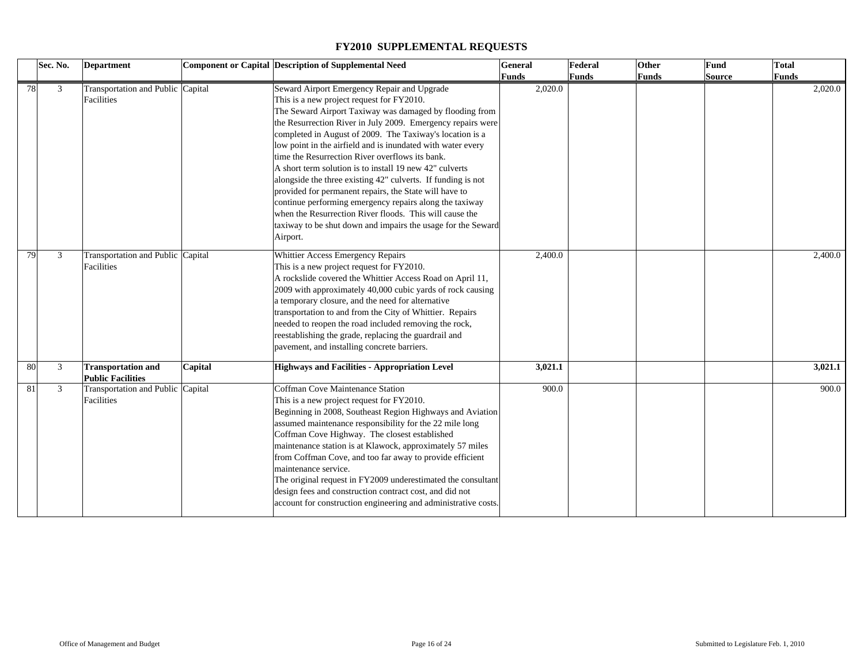|    | Sec. No. | Department                                            |         | Component or Capital Description of Supplemental Need                                                                                                                                                                                                                                                                                                                                                                                                                                                                                                                                                                                                                                                                                                                                   | General      | Federal      | Other | <b>Fund</b>   | <b>Total</b> |
|----|----------|-------------------------------------------------------|---------|-----------------------------------------------------------------------------------------------------------------------------------------------------------------------------------------------------------------------------------------------------------------------------------------------------------------------------------------------------------------------------------------------------------------------------------------------------------------------------------------------------------------------------------------------------------------------------------------------------------------------------------------------------------------------------------------------------------------------------------------------------------------------------------------|--------------|--------------|-------|---------------|--------------|
|    |          |                                                       |         |                                                                                                                                                                                                                                                                                                                                                                                                                                                                                                                                                                                                                                                                                                                                                                                         | <b>Funds</b> | <b>Funds</b> | Funds | <b>Source</b> | <b>Funds</b> |
| 78 | 3        | Transportation and Public Capital<br>Facilities       |         | Seward Airport Emergency Repair and Upgrade<br>This is a new project request for FY2010.<br>The Seward Airport Taxiway was damaged by flooding from<br>the Resurrection River in July 2009. Emergency repairs were<br>completed in August of 2009. The Taxiway's location is a<br>low point in the airfield and is inundated with water every<br>time the Resurrection River overflows its bank.<br>A short term solution is to install 19 new 42" culverts<br>alongside the three existing 42" culverts. If funding is not<br>provided for permanent repairs, the State will have to<br>continue performing emergency repairs along the taxiway<br>when the Resurrection River floods. This will cause the<br>taxiway to be shut down and impairs the usage for the Seward<br>Airport. | 2,020.0      |              |       |               | 2,020.0      |
| 79 | 3        | Transportation and Public Capital<br>Facilities       |         | Whittier Access Emergency Repairs<br>This is a new project request for FY2010.<br>A rockslide covered the Whittier Access Road on April 11,<br>2009 with approximately 40,000 cubic yards of rock causing<br>a temporary closure, and the need for alternative<br>transportation to and from the City of Whittier. Repairs<br>needed to reopen the road included removing the rock,<br>reestablishing the grade, replacing the guardrail and<br>pavement, and installing concrete barriers.                                                                                                                                                                                                                                                                                             | 2,400.0      |              |       |               | 2,400.0      |
| 80 | 3        | <b>Transportation and</b><br><b>Public Facilities</b> | Capital | <b>Highways and Facilities - Appropriation Level</b>                                                                                                                                                                                                                                                                                                                                                                                                                                                                                                                                                                                                                                                                                                                                    | 3,021.1      |              |       |               | 3,021.1      |
| 81 | 3        | Transportation and Public Capital<br>Facilities       |         | Coffman Cove Maintenance Station<br>This is a new project request for FY2010.<br>Beginning in 2008, Southeast Region Highways and Aviation<br>assumed maintenance responsibility for the 22 mile long<br>Coffman Cove Highway. The closest established<br>maintenance station is at Klawock, approximately 57 miles<br>from Coffman Cove, and too far away to provide efficient<br>maintenance service.<br>The original request in FY2009 underestimated the consultant<br>design fees and construction contract cost, and did not<br>account for construction engineering and administrative costs.                                                                                                                                                                                    | 900.0        |              |       |               | 900.0        |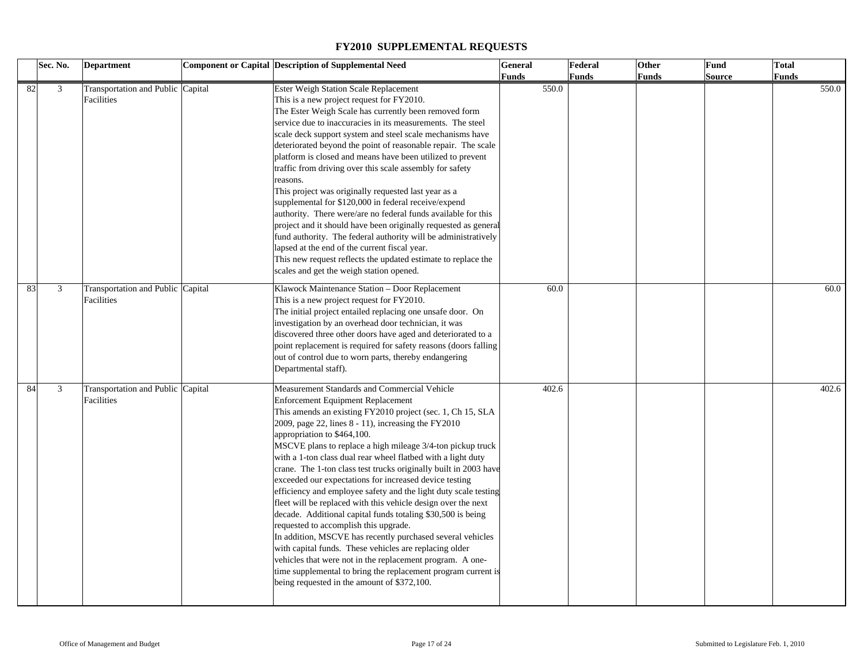|    | Sec. No. | <b>Department</b>                               | <b>Component or Capital Description of Supplemental Need</b>                                                                                                                                                                                                                                                                                                                                                                                                                                                                                                                                                                                                                                                                                                                                                                                                                                                                                                                                                                                                 | General | Federal | Other        | Fund   | <b>Total</b> |
|----|----------|-------------------------------------------------|--------------------------------------------------------------------------------------------------------------------------------------------------------------------------------------------------------------------------------------------------------------------------------------------------------------------------------------------------------------------------------------------------------------------------------------------------------------------------------------------------------------------------------------------------------------------------------------------------------------------------------------------------------------------------------------------------------------------------------------------------------------------------------------------------------------------------------------------------------------------------------------------------------------------------------------------------------------------------------------------------------------------------------------------------------------|---------|---------|--------------|--------|--------------|
|    |          |                                                 |                                                                                                                                                                                                                                                                                                                                                                                                                                                                                                                                                                                                                                                                                                                                                                                                                                                                                                                                                                                                                                                              | Funds   | Funds   | <b>Funds</b> | Source | Funds        |
| 82 | 3        | Transportation and Public Capital<br>Facilities | Ester Weigh Station Scale Replacement<br>This is a new project request for FY2010.<br>The Ester Weigh Scale has currently been removed form<br>service due to inaccuracies in its measurements. The steel<br>scale deck support system and steel scale mechanisms have<br>deteriorated beyond the point of reasonable repair. The scale<br>platform is closed and means have been utilized to prevent<br>traffic from driving over this scale assembly for safety<br>reasons.<br>This project was originally requested last year as a<br>supplemental for \$120,000 in federal receive/expend<br>authority. There were/are no federal funds available for this<br>project and it should have been originally requested as general<br>fund authority. The federal authority will be administratively<br>lapsed at the end of the current fiscal year.<br>This new request reflects the updated estimate to replace the<br>scales and get the weigh station opened.                                                                                            | 550.0   |         |              |        | 550.0        |
| 83 | 3        | Transportation and Public Capital<br>Facilities | Klawock Maintenance Station - Door Replacement<br>This is a new project request for FY2010.<br>The initial project entailed replacing one unsafe door. On<br>investigation by an overhead door technician, it was<br>discovered three other doors have aged and deteriorated to a<br>point replacement is required for safety reasons (doors falling<br>out of control due to worn parts, thereby endangering<br>Departmental staff).                                                                                                                                                                                                                                                                                                                                                                                                                                                                                                                                                                                                                        | 60.0    |         |              |        | 60.0         |
| 84 | 3        | Transportation and Public Capital<br>Facilities | Measurement Standards and Commercial Vehicle<br><b>Enforcement Equipment Replacement</b><br>This amends an existing FY2010 project (sec. 1, Ch 15, SLA<br>2009, page 22, lines $8 - 11$ ), increasing the FY2010<br>appropriation to \$464,100.<br>MSCVE plans to replace a high mileage 3/4-ton pickup truck<br>with a 1-ton class dual rear wheel flatbed with a light duty<br>crane. The 1-ton class test trucks originally built in 2003 have<br>exceeded our expectations for increased device testing<br>efficiency and employee safety and the light duty scale testing<br>fleet will be replaced with this vehicle design over the next<br>decade. Additional capital funds totaling \$30,500 is being<br>requested to accomplish this upgrade.<br>In addition, MSCVE has recently purchased several vehicles<br>with capital funds. These vehicles are replacing older<br>vehicles that were not in the replacement program. A one-<br>time supplemental to bring the replacement program current is<br>being requested in the amount of \$372,100. | 402.6   |         |              |        | 402.6        |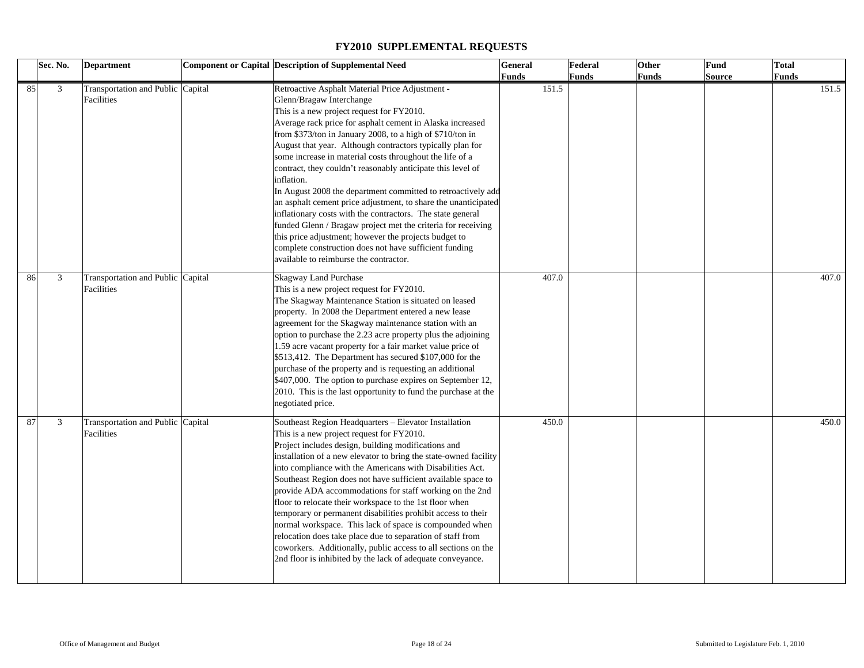|    | Sec. No. | <b>Department</b>                               | Component or Capital Description of Supplemental Need                                                                                                                                                                                                                                                                                                                                                                                                                                                                                                                                                                                                                                                                                                                                                                                                                                 | General | Federal | Other | Fund   | <b>Total</b> |
|----|----------|-------------------------------------------------|---------------------------------------------------------------------------------------------------------------------------------------------------------------------------------------------------------------------------------------------------------------------------------------------------------------------------------------------------------------------------------------------------------------------------------------------------------------------------------------------------------------------------------------------------------------------------------------------------------------------------------------------------------------------------------------------------------------------------------------------------------------------------------------------------------------------------------------------------------------------------------------|---------|---------|-------|--------|--------------|
|    |          |                                                 |                                                                                                                                                                                                                                                                                                                                                                                                                                                                                                                                                                                                                                                                                                                                                                                                                                                                                       | Funds   | Funds   | Funds | Source | Funds        |
| 85 | 3        | Transportation and Public Capital<br>Facilities | Retroactive Asphalt Material Price Adjustment -<br>Glenn/Bragaw Interchange<br>This is a new project request for FY2010.<br>Average rack price for asphalt cement in Alaska increased<br>from \$373/ton in January 2008, to a high of \$710/ton in<br>August that year. Although contractors typically plan for<br>some increase in material costs throughout the life of a<br>contract, they couldn't reasonably anticipate this level of<br>inflation.<br>In August 2008 the department committed to retroactively add<br>an asphalt cement price adjustment, to share the unanticipated<br>inflationary costs with the contractors. The state general<br>funded Glenn / Bragaw project met the criteria for receiving<br>this price adjustment; however the projects budget to<br>complete construction does not have sufficient funding<br>available to reimburse the contractor. | 151.5   |         |       |        | 151.5        |
| 86 | 3        | Transportation and Public Capital<br>Facilities | Skagway Land Purchase<br>This is a new project request for FY2010.<br>The Skagway Maintenance Station is situated on leased<br>property. In 2008 the Department entered a new lease<br>agreement for the Skagway maintenance station with an<br>option to purchase the 2.23 acre property plus the adjoining<br>1.59 acre vacant property for a fair market value price of<br>\$513,412. The Department has secured \$107,000 for the<br>purchase of the property and is requesting an additional<br>\$407,000. The option to purchase expires on September 12,<br>2010. This is the last opportunity to fund the purchase at the<br>negotiated price.                                                                                                                                                                                                                                | 407.0   |         |       |        | 407.0        |
| 87 | 3        | Transportation and Public Capital<br>Facilities | Southeast Region Headquarters - Elevator Installation<br>This is a new project request for FY2010.<br>Project includes design, building modifications and<br>installation of a new elevator to bring the state-owned facility<br>into compliance with the Americans with Disabilities Act.<br>Southeast Region does not have sufficient available space to<br>provide ADA accommodations for staff working on the 2nd<br>floor to relocate their workspace to the 1st floor when<br>temporary or permanent disabilities prohibit access to their<br>normal workspace. This lack of space is compounded when<br>relocation does take place due to separation of staff from<br>coworkers. Additionally, public access to all sections on the<br>2nd floor is inhibited by the lack of adequate conveyance.                                                                              | 450.0   |         |       |        | 450.0        |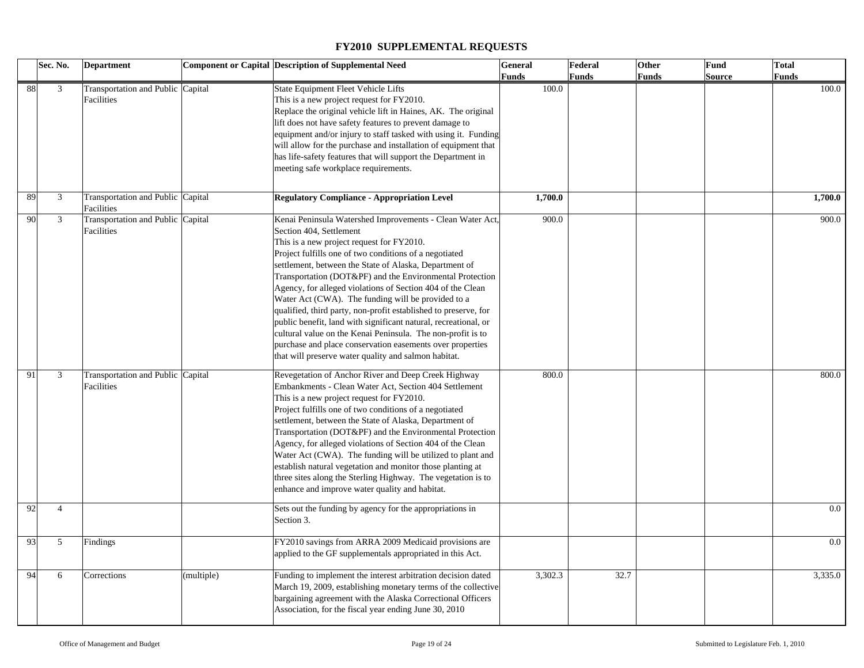|    | Sec. No.       | <b>Department</b>                               |            | <b>Component or Capital Description of Supplemental Need</b>                                                                                                                                                                                                                                                                                                                                                                                                                                                                                                                                                                                                                                                                                                    | General      | Federal      | Other | Fund          | <b>Total</b> |
|----|----------------|-------------------------------------------------|------------|-----------------------------------------------------------------------------------------------------------------------------------------------------------------------------------------------------------------------------------------------------------------------------------------------------------------------------------------------------------------------------------------------------------------------------------------------------------------------------------------------------------------------------------------------------------------------------------------------------------------------------------------------------------------------------------------------------------------------------------------------------------------|--------------|--------------|-------|---------------|--------------|
|    |                |                                                 |            |                                                                                                                                                                                                                                                                                                                                                                                                                                                                                                                                                                                                                                                                                                                                                                 | <b>Funds</b> | <b>Funds</b> | Funds | <b>Source</b> | <b>Funds</b> |
| 88 | $\mathfrak{Z}$ | Transportation and Public Capital<br>Facilities |            | State Equipment Fleet Vehicle Lifts<br>This is a new project request for FY2010.<br>Replace the original vehicle lift in Haines, AK. The original<br>lift does not have safety features to prevent damage to<br>equipment and/or injury to staff tasked with using it. Funding<br>will allow for the purchase and installation of equipment that<br>has life-safety features that will support the Department in<br>meeting safe workplace requirements.                                                                                                                                                                                                                                                                                                        | 100.0        |              |       |               | 100.0        |
| 89 | 3              | Transportation and Public Capital<br>Facilities |            | <b>Regulatory Compliance - Appropriation Level</b>                                                                                                                                                                                                                                                                                                                                                                                                                                                                                                                                                                                                                                                                                                              | 1,700.0      |              |       |               | 1,700.0      |
| 90 | 3              | Transportation and Public Capital<br>Facilities |            | Kenai Peninsula Watershed Improvements - Clean Water Act,<br>Section 404, Settlement<br>This is a new project request for FY2010.<br>Project fulfills one of two conditions of a negotiated<br>settlement, between the State of Alaska, Department of<br>Transportation (DOT&PF) and the Environmental Protection<br>Agency, for alleged violations of Section 404 of the Clean<br>Water Act (CWA). The funding will be provided to a<br>qualified, third party, non-profit established to preserve, for<br>public benefit, land with significant natural, recreational, or<br>cultural value on the Kenai Peninsula. The non-profit is to<br>purchase and place conservation easements over properties<br>that will preserve water quality and salmon habitat. | 900.0        |              |       |               | 900.0        |
| 91 | 3              | Transportation and Public Capital<br>Facilities |            | Revegetation of Anchor River and Deep Creek Highway<br>Embankments - Clean Water Act, Section 404 Settlement<br>This is a new project request for FY2010.<br>Project fulfills one of two conditions of a negotiated<br>settlement, between the State of Alaska, Department of<br>Transportation (DOT&PF) and the Environmental Protection<br>Agency, for alleged violations of Section 404 of the Clean<br>Water Act (CWA). The funding will be utilized to plant and<br>establish natural vegetation and monitor those planting at<br>three sites along the Sterling Highway. The vegetation is to<br>enhance and improve water quality and habitat.                                                                                                           | 800.0        |              |       |               | 800.0        |
| 92 | $\overline{4}$ |                                                 |            | Sets out the funding by agency for the appropriations in<br>Section 3.                                                                                                                                                                                                                                                                                                                                                                                                                                                                                                                                                                                                                                                                                          |              |              |       |               | $0.0\,$      |
| 93 | 5              | Findings                                        |            | FY2010 savings from ARRA 2009 Medicaid provisions are<br>applied to the GF supplementals appropriated in this Act.                                                                                                                                                                                                                                                                                                                                                                                                                                                                                                                                                                                                                                              |              |              |       |               | $0.0\,$      |
| 94 | 6              | Corrections                                     | (multiple) | Funding to implement the interest arbitration decision dated<br>March 19, 2009, establishing monetary terms of the collective<br>bargaining agreement with the Alaska Correctional Officers<br>Association, for the fiscal year ending June 30, 2010                                                                                                                                                                                                                                                                                                                                                                                                                                                                                                            | 3,302.3      | 32.7         |       |               | 3,335.0      |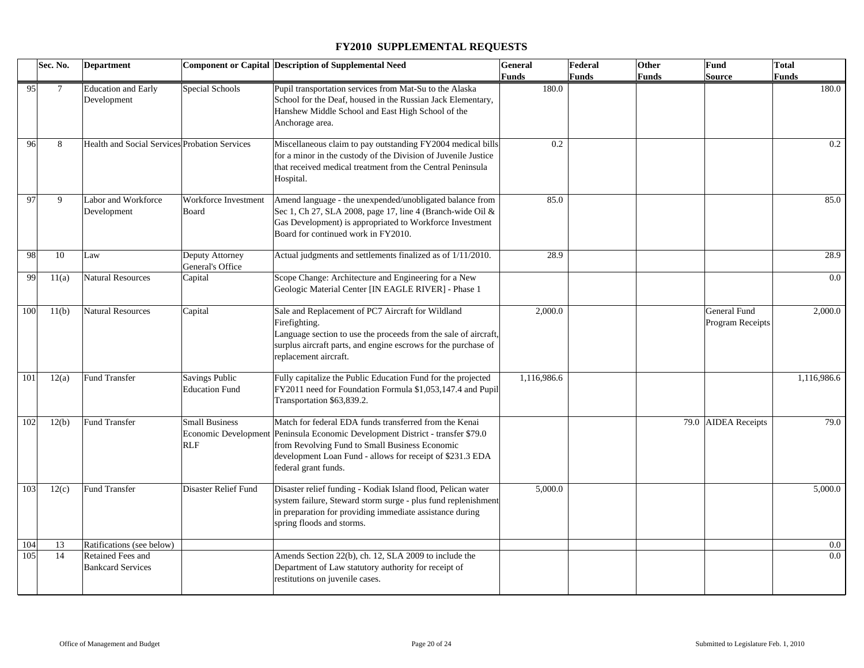|     | Sec. No. | <b>Department</b>                             |                                                | <b>Component or Capital Description of Supplemental Need</b>                                                                                                                                                                                                                    | General      | Federal      | Other | Fund                             | <b>Total</b> |
|-----|----------|-----------------------------------------------|------------------------------------------------|---------------------------------------------------------------------------------------------------------------------------------------------------------------------------------------------------------------------------------------------------------------------------------|--------------|--------------|-------|----------------------------------|--------------|
|     |          |                                               |                                                |                                                                                                                                                                                                                                                                                 | <b>Funds</b> | <b>Funds</b> | Funds | Source                           | Funds        |
| 95  | $\tau$   | <b>Education</b> and Early<br>Development     | Special Schools                                | Pupil transportation services from Mat-Su to the Alaska<br>School for the Deaf, housed in the Russian Jack Elementary,<br>Hanshew Middle School and East High School of the<br>Anchorage area.                                                                                  | 180.0        |              |       |                                  | 180.0        |
| 96  | 8        | Health and Social Services Probation Services |                                                | Miscellaneous claim to pay outstanding FY2004 medical bills<br>for a minor in the custody of the Division of Juvenile Justice<br>that received medical treatment from the Central Peninsula<br>Hospital.                                                                        | 0.2          |              |       |                                  | 0.2          |
| 97  | 9        | Labor and Workforce<br>Development            | Workforce Investment<br>Board                  | Amend language - the unexpended/unobligated balance from<br>Sec 1, Ch 27, SLA 2008, page 17, line 4 (Branch-wide Oil &<br>Gas Development) is appropriated to Workforce Investment<br>Board for continued work in FY2010.                                                       | 85.0         |              |       |                                  | 85.0         |
| 98  | 10       | Law                                           | Deputy Attorney<br>General's Office            | Actual judgments and settlements finalized as of 1/11/2010.                                                                                                                                                                                                                     | 28.9         |              |       |                                  | 28.9         |
| 99  | 11(a)    | <b>Natural Resources</b>                      | Capital                                        | Scope Change: Architecture and Engineering for a New<br>Geologic Material Center [IN EAGLE RIVER] - Phase 1                                                                                                                                                                     |              |              |       |                                  | $0.0\,$      |
| 100 | 11(b)    | <b>Natural Resources</b>                      | Capital                                        | Sale and Replacement of PC7 Aircraft for Wildland<br>Firefighting.<br>Language section to use the proceeds from the sale of aircraft,<br>surplus aircraft parts, and engine escrows for the purchase of<br>replacement aircraft.                                                | 2,000.0      |              |       | General Fund<br>Program Receipts | 2,000.0      |
| 101 | 12(a)    | <b>Fund Transfer</b>                          | <b>Savings Public</b><br><b>Education Fund</b> | Fully capitalize the Public Education Fund for the projected<br>FY2011 need for Foundation Formula \$1,053,147.4 and Pupil<br>Transportation \$63,839.2.                                                                                                                        | 1,116,986.6  |              |       |                                  | 1,116,986.6  |
| 102 | 12(b)    | Fund Transfer                                 | <b>Small Business</b><br><b>RLF</b>            | Match for federal EDA funds transferred from the Kenai<br>Economic Development Peninsula Economic Development District - transfer \$79.0<br>from Revolving Fund to Small Business Economic<br>development Loan Fund - allows for receipt of \$231.3 EDA<br>federal grant funds. |              |              |       | 79.0 AIDEA Receipts              | 79.0         |
| 103 | 12(c)    | <b>Fund Transfer</b>                          | Disaster Relief Fund                           | Disaster relief funding - Kodiak Island flood, Pelican water<br>system failure, Steward storm surge - plus fund replenishment<br>in preparation for providing immediate assistance during<br>spring floods and storms.                                                          | 5,000.0      |              |       |                                  | 5,000.0      |
| 104 | 13       | Ratifications (see below)                     |                                                |                                                                                                                                                                                                                                                                                 |              |              |       |                                  | $0.0\,$      |
| 105 | 14       | Retained Fees and<br><b>Bankcard Services</b> |                                                | Amends Section 22(b), ch. 12, SLA 2009 to include the<br>Department of Law statutory authority for receipt of<br>restitutions on juvenile cases.                                                                                                                                |              |              |       |                                  | 0.0          |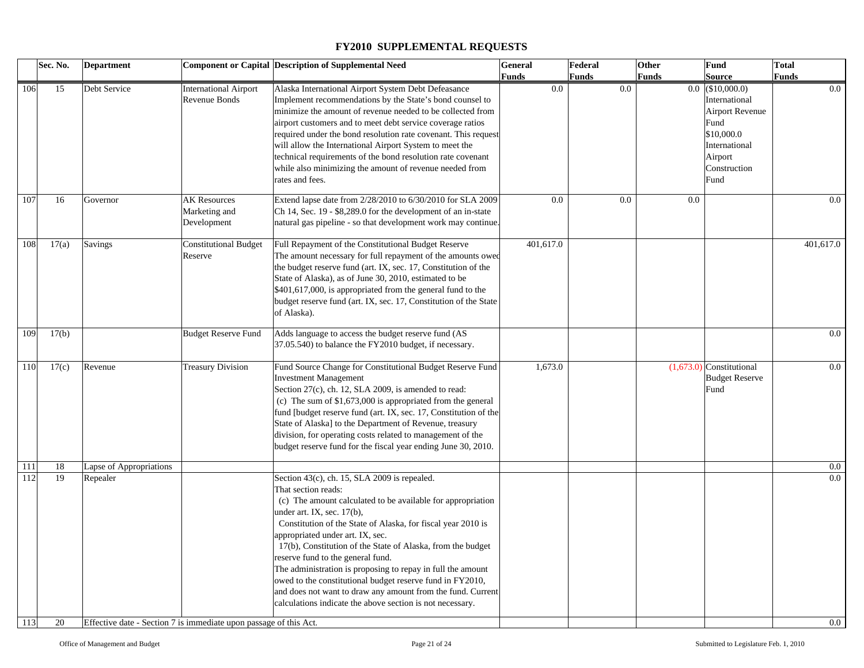|     | Sec. No. | <b>Department</b>       |                                                                   | <b>Component or Capital Description of Supplemental Need</b>     | General             | Federal             | Other | Fund                       | <b>Total</b> |
|-----|----------|-------------------------|-------------------------------------------------------------------|------------------------------------------------------------------|---------------------|---------------------|-------|----------------------------|--------------|
|     |          |                         |                                                                   |                                                                  | <b>Funds</b><br>0.0 | <b>Funds</b><br>0.0 | Funds | Source                     | <b>Funds</b> |
| 106 | 15       | Debt Service            | <b>International Airport</b>                                      | Alaska International Airport System Debt Defeasance              |                     |                     |       | $0.0$ (\$10,000.0)         | $0.0\,$      |
|     |          |                         | Revenue Bonds                                                     | Implement recommendations by the State's bond counsel to         |                     |                     |       | International              |              |
|     |          |                         |                                                                   | minimize the amount of revenue needed to be collected from       |                     |                     |       | <b>Airport Revenue</b>     |              |
|     |          |                         |                                                                   | airport customers and to meet debt service coverage ratios       |                     |                     |       | Fund                       |              |
|     |          |                         |                                                                   | required under the bond resolution rate covenant. This request   |                     |                     |       | \$10,000.0                 |              |
|     |          |                         |                                                                   | will allow the International Airport System to meet the          |                     |                     |       | International              |              |
|     |          |                         |                                                                   | technical requirements of the bond resolution rate covenant      |                     |                     |       | Airport                    |              |
|     |          |                         |                                                                   | while also minimizing the amount of revenue needed from          |                     |                     |       | Construction               |              |
|     |          |                         |                                                                   | rates and fees.                                                  |                     |                     |       | Fund                       |              |
| 107 | 16       | Governor                | <b>AK Resources</b>                                               | Extend lapse date from 2/28/2010 to 6/30/2010 for SLA 2009       | 0.0                 | 0.0                 | 0.0   |                            | 0.0          |
|     |          |                         | Marketing and                                                     | Ch 14, Sec. 19 - \$8,289.0 for the development of an in-state    |                     |                     |       |                            |              |
|     |          |                         | Development                                                       | natural gas pipeline - so that development work may continue.    |                     |                     |       |                            |              |
|     |          |                         |                                                                   |                                                                  |                     |                     |       |                            |              |
| 108 | 17(a)    | Savings                 | <b>Constitutional Budget</b>                                      | Full Repayment of the Constitutional Budget Reserve              | 401,617.0           |                     |       |                            | 401,617.0    |
|     |          |                         | Reserve                                                           | The amount necessary for full repayment of the amounts owed      |                     |                     |       |                            |              |
|     |          |                         |                                                                   | the budget reserve fund (art. IX, sec. 17, Constitution of the   |                     |                     |       |                            |              |
|     |          |                         |                                                                   | State of Alaska), as of June 30, 2010, estimated to be           |                     |                     |       |                            |              |
|     |          |                         |                                                                   | \$401,617,000, is appropriated from the general fund to the      |                     |                     |       |                            |              |
|     |          |                         |                                                                   | budget reserve fund (art. IX, sec. 17, Constitution of the State |                     |                     |       |                            |              |
|     |          |                         |                                                                   | of Alaska).                                                      |                     |                     |       |                            |              |
|     |          |                         |                                                                   |                                                                  |                     |                     |       |                            |              |
| 109 | 17(b)    |                         | <b>Budget Reserve Fund</b>                                        | Adds language to access the budget reserve fund (AS              |                     |                     |       |                            | $0.0\,$      |
|     |          |                         |                                                                   | 37.05.540) to balance the FY2010 budget, if necessary.           |                     |                     |       |                            |              |
|     |          |                         |                                                                   |                                                                  |                     |                     |       |                            |              |
| 110 | 17(c)    | Revenue                 | <b>Treasury Division</b>                                          | Fund Source Change for Constitutional Budget Reserve Fund        | 1,673.0             |                     |       | $(1,673.0)$ Constitutional | $0.0\,$      |
|     |          |                         |                                                                   | <b>Investment Management</b>                                     |                     |                     |       | <b>Budget Reserve</b>      |              |
|     |          |                         |                                                                   | Section 27(c), ch. 12, SLA 2009, is amended to read:             |                     |                     |       | Fund                       |              |
|     |          |                         |                                                                   | (c) The sum of $$1,673,000$ is appropriated from the general     |                     |                     |       |                            |              |
|     |          |                         |                                                                   | fund [budget reserve fund (art. IX, sec. 17, Constitution of the |                     |                     |       |                            |              |
|     |          |                         |                                                                   | State of Alaska] to the Department of Revenue, treasury          |                     |                     |       |                            |              |
|     |          |                         |                                                                   | division, for operating costs related to management of the       |                     |                     |       |                            |              |
|     |          |                         |                                                                   | budget reserve fund for the fiscal year ending June 30, 2010.    |                     |                     |       |                            |              |
| 111 | 18       | Lapse of Appropriations |                                                                   |                                                                  |                     |                     |       |                            | $0.0\,$      |
| 112 | 19       | Repealer                |                                                                   | Section 43(c), ch. 15, SLA 2009 is repealed.                     |                     |                     |       |                            | $0.0\,$      |
|     |          |                         |                                                                   | That section reads:                                              |                     |                     |       |                            |              |
|     |          |                         |                                                                   | (c) The amount calculated to be available for appropriation      |                     |                     |       |                            |              |
|     |          |                         |                                                                   | under art. IX, sec. 17(b),                                       |                     |                     |       |                            |              |
|     |          |                         |                                                                   | Constitution of the State of Alaska, for fiscal year 2010 is     |                     |                     |       |                            |              |
|     |          |                         |                                                                   | appropriated under art. IX, sec.                                 |                     |                     |       |                            |              |
|     |          |                         |                                                                   | 17(b), Constitution of the State of Alaska, from the budget      |                     |                     |       |                            |              |
|     |          |                         |                                                                   | reserve fund to the general fund.                                |                     |                     |       |                            |              |
|     |          |                         |                                                                   | The administration is proposing to repay in full the amount      |                     |                     |       |                            |              |
|     |          |                         |                                                                   | owed to the constitutional budget reserve fund in FY2010,        |                     |                     |       |                            |              |
|     |          |                         |                                                                   | and does not want to draw any amount from the fund. Current      |                     |                     |       |                            |              |
|     |          |                         |                                                                   | calculations indicate the above section is not necessary.        |                     |                     |       |                            |              |
|     |          |                         |                                                                   |                                                                  |                     |                     |       |                            |              |
| 113 | 20       |                         | Effective date - Section 7 is immediate upon passage of this Act. |                                                                  |                     |                     |       |                            | 0.0          |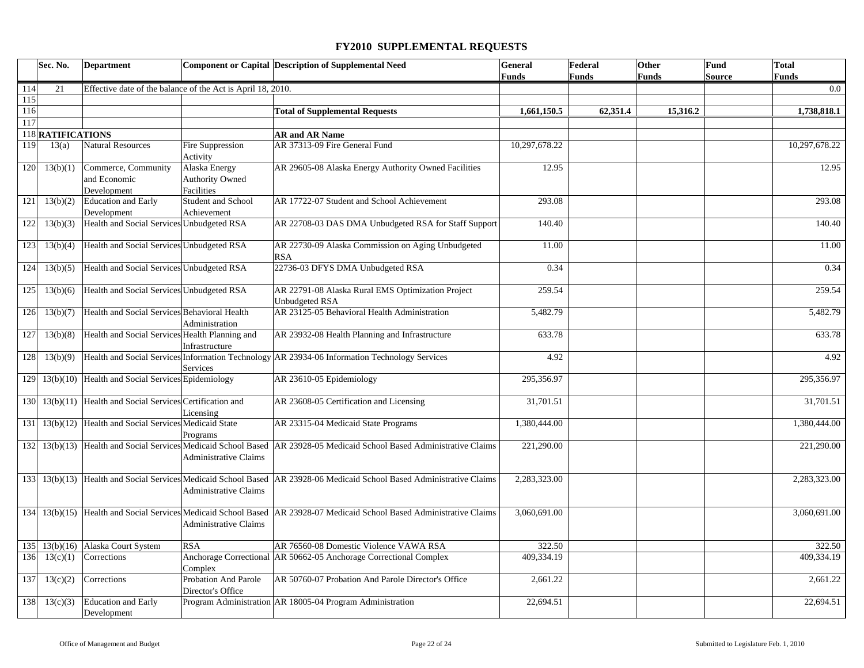|     | Sec. No.          | <b>Department</b>                                              |                                                       | <b>Component or Capital Description of Supplemental Need</b>                                  | General       | Federal      | Other        | Fund          | <b>Total</b>  |
|-----|-------------------|----------------------------------------------------------------|-------------------------------------------------------|-----------------------------------------------------------------------------------------------|---------------|--------------|--------------|---------------|---------------|
|     |                   |                                                                |                                                       |                                                                                               | <b>Funds</b>  | <b>Funds</b> | <b>Funds</b> | <b>Source</b> | <b>Funds</b>  |
| 114 | 21                | Effective date of the balance of the Act is April 18, 2010.    |                                                       |                                                                                               |               |              |              |               | 0.0           |
| 115 |                   |                                                                |                                                       |                                                                                               |               |              |              |               |               |
| 116 |                   |                                                                |                                                       | <b>Total of Supplemental Requests</b>                                                         | 1,661,150.5   | 62,351.4     | 15,316.2     |               | 1,738,818.1   |
| 117 |                   |                                                                |                                                       |                                                                                               |               |              |              |               |               |
|     | 118 RATIFICATIONS |                                                                |                                                       | <b>AR and AR Name</b>                                                                         |               |              |              |               |               |
| 119 | 13(a)             | <b>Natural Resources</b>                                       | Fire Suppression<br>Activity                          | AR 37313-09 Fire General Fund                                                                 | 10,297,678.22 |              |              |               | 10,297,678.22 |
| 120 | 13(b)(1)          | Commerce, Community<br>and Economic<br>Development             | Alaska Energy<br><b>Authority Owned</b><br>Facilities | AR 29605-08 Alaska Energy Authority Owned Facilities                                          | 12.95         |              |              |               | 12.95         |
| 121 | 13(b)(2)          | <b>Education and Early</b><br>Development                      | Student and School<br>Achievement                     | AR 17722-07 Student and School Achievement                                                    | 293.08        |              |              |               | 293.08        |
| 122 | 13(b)(3)          | Health and Social Services Unbudgeted RSA                      |                                                       | AR 22708-03 DAS DMA Unbudgeted RSA for Staff Support                                          | 140.40        |              |              |               | 140.40        |
| 123 | 13(b)(4)          | Health and Social Services Unbudgeted RSA                      |                                                       | AR 22730-09 Alaska Commission on Aging Unbudgeted<br><b>RSA</b>                               | 11.00         |              |              |               | 11.00         |
| 124 | 13(b)(5)          | Health and Social Services Unbudgeted RSA                      |                                                       | 22736-03 DFYS DMA Unbudgeted RSA                                                              | 0.34          |              |              |               | 0.34          |
| 125 | 13(b)(6)          | Health and Social Services Unbudgeted RSA                      |                                                       | AR 22791-08 Alaska Rural EMS Optimization Project<br><b>Unbudgeted RSA</b>                    | 259.54        |              |              |               | 259.54        |
| 126 | 13(b)(7)          | Health and Social Services Behavioral Health                   | Administration                                        | AR 23125-05 Behavioral Health Administration                                                  | 5,482.79      |              |              |               | 5,482.79      |
| 127 | 13(b)(8)          | Health and Social Services Health Planning and                 | Infrastructure                                        | AR 23932-08 Health Planning and Infrastructure                                                | 633.78        |              |              |               | 633.78        |
| 128 | 13(b)(9)          |                                                                | Services                                              | Health and Social Services Information Technology AR 23934-06 Information Technology Services | 4.92          |              |              |               | 4.92          |
| 129 |                   | 13(b)(10) Health and Social Services Epidemiology              |                                                       | AR 23610-05 Epidemiology                                                                      | 295,356.97    |              |              |               | 295,356.97    |
|     |                   | 130 13(b)(11) Health and Social Services Certification and     | Licensing                                             | AR 23608-05 Certification and Licensing                                                       | 31,701.51     |              |              |               | 31,701.51     |
|     |                   | 131 13(b)(12) Health and Social Services Medicaid State        | Programs                                              | AR 23315-04 Medicaid State Programs                                                           | 1,380,444.00  |              |              |               | 1,380,444.00  |
|     |                   | 132 13(b)(13) Health and Social Services Medicaid School Based | Administrative Claims                                 | AR 23928-05 Medicaid School Based Administrative Claims                                       | 221,290.00    |              |              |               | 221,290.00    |
|     |                   | 133 13(b)(13) Health and Social Services Medicaid School Based | <b>Administrative Claims</b>                          | AR 23928-06 Medicaid School Based Administrative Claims                                       | 2,283,323.00  |              |              |               | 2,283,323.00  |
| 134 |                   | 13(b)(15) Health and Social Services Medicaid School Based     | <b>Administrative Claims</b>                          | AR 23928-07 Medicaid School Based Administrative Claims                                       | 3,060,691.00  |              |              |               | 3,060,691.00  |
| 135 | 13(b)(16)         | Alaska Court System                                            | <b>RSA</b>                                            | AR 76560-08 Domestic Violence VAWA RSA                                                        | 322.50        |              |              |               | 322.50        |
| 136 | 13(c)(1)          | Corrections                                                    | Complex                                               | Anchorage Correctional AR 50662-05 Anchorage Correctional Complex                             | 409,334.19    |              |              |               | 409.334.19    |
| 137 | 13(c)(2)          | Corrections                                                    | Probation And Parole<br>Director's Office             | AR 50760-07 Probation And Parole Director's Office                                            | 2,661.22      |              |              |               | 2,661.22      |
| 138 | 13(c)(3)          | <b>Education and Early</b><br>Development                      |                                                       | Program Administration AR 18005-04 Program Administration                                     | 22,694.51     |              |              |               | 22,694.51     |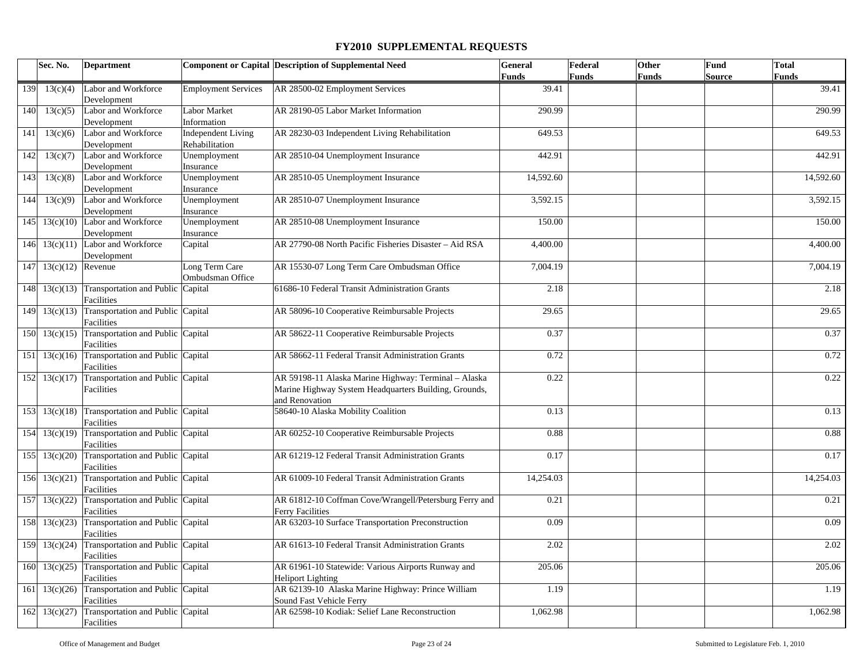|     | Sec. No.              | <b>Department</b>                                      |                                             | <b>Component or Capital Description of Supplemental Need</b>                                                                    | General      | Federal      | <b>Other</b> | Fund   | <b>Total</b> |
|-----|-----------------------|--------------------------------------------------------|---------------------------------------------|---------------------------------------------------------------------------------------------------------------------------------|--------------|--------------|--------------|--------|--------------|
|     |                       |                                                        |                                             |                                                                                                                                 | <b>Funds</b> | <b>Funds</b> | Funds        | Source | <b>Funds</b> |
| 139 | 13(c)(4)              | Labor and Workforce<br>Development                     | <b>Employment Services</b>                  | AR 28500-02 Employment Services                                                                                                 | 39.41        |              |              |        | 39.41        |
| 140 | 13(c)(5)              | Labor and Workforce<br>Development                     | <b>Labor Market</b><br>Information          | AR 28190-05 Labor Market Information                                                                                            | 290.99       |              |              |        | 290.99       |
| 141 | 13(c)(6)              | Labor and Workforce<br>Development                     | <b>Independent Living</b><br>Rehabilitation | AR 28230-03 Independent Living Rehabilitation                                                                                   | 649.53       |              |              |        | 649.53       |
| 142 | 13(c)(7)              | Labor and Workforce<br>Development                     | Unemployment<br>Insurance                   | AR 28510-04 Unemployment Insurance                                                                                              | 442.91       |              |              |        | 442.91       |
| 143 | 13(c)(8)              | Labor and Workforce<br>Development                     | Unemployment<br>Insurance                   | AR 28510-05 Unemployment Insurance                                                                                              | 14,592.60    |              |              |        | 14,592.60    |
| 144 | 13(c)(9)              | Labor and Workforce<br>Development                     | Unemployment<br>Insurance                   | AR 28510-07 Unemployment Insurance                                                                                              | 3,592.15     |              |              |        | 3,592.15     |
|     |                       | 145 13 $(c)(10)$ Labor and Workforce<br>Development    | Unemployment<br>Insurance                   | AR 28510-08 Unemployment Insurance                                                                                              | 150.00       |              |              |        | 150.00       |
|     | 146 $13(c)(11)$       | Labor and Workforce<br>Development                     | Capital                                     | AR 27790-08 North Pacific Fisheries Disaster - Aid RSA                                                                          | 4,400.00     |              |              |        | 4,400.00     |
|     | 147 13(c)(12) Revenue |                                                        | Long Term Care<br>Ombudsman Office          | AR 15530-07 Long Term Care Ombudsman Office                                                                                     | 7,004.19     |              |              |        | 7,004.19     |
|     | 148 13(c)(13)         | Transportation and Public Capital<br>Facilities        |                                             | 61686-10 Federal Transit Administration Grants                                                                                  | 2.18         |              |              |        | 2.18         |
|     | 149 13(c)(13)         | Transportation and Public Capital<br>Facilities        |                                             | AR 58096-10 Cooperative Reimbursable Projects                                                                                   | 29.65        |              |              |        | 29.65        |
|     | $150 \mid 13(c)(15)$  | Transportation and Public Capital<br>Facilities        |                                             | AR 58622-11 Cooperative Reimbursable Projects                                                                                   | 0.37         |              |              |        | 0.37         |
|     | $151 \mid 13(c)(16)$  | Transportation and Public Capital<br>Facilities        |                                             | AR 58662-11 Federal Transit Administration Grants                                                                               | 0.72         |              |              |        | 0.72         |
|     | $152 \mid 13(c)(17)$  | Transportation and Public Capital<br>Facilities        |                                             | AR 59198-11 Alaska Marine Highway: Terminal - Alaska<br>Marine Highway System Headquarters Building, Grounds,<br>and Renovation | 0.22         |              |              |        | 0.22         |
|     | $153 \mid 13(c)(18)$  | Transportation and Public Capital<br>Facilities        |                                             | 58640-10 Alaska Mobility Coalition                                                                                              | 0.13         |              |              |        | 0.13         |
|     | 154 13(c)(19)         | Transportation and Public Capital<br>Facilities        |                                             | AR 60252-10 Cooperative Reimbursable Projects                                                                                   | 0.88         |              |              |        | 0.88         |
|     | 155 13(c)(20)         | Transportation and Public Capital<br>Facilities        |                                             | AR 61219-12 Federal Transit Administration Grants                                                                               | 0.17         |              |              |        | 0.17         |
|     | 156 13(c)(21)         | Transportation and Public Capital<br>Facilities        |                                             | AR 61009-10 Federal Transit Administration Grants                                                                               | 14,254.03    |              |              |        | 14,254.03    |
|     | 157 13(c)(22)         | Transportation and Public Capital<br>Facilities        |                                             | AR 61812-10 Coffman Cove/Wrangell/Petersburg Ferry and<br><b>Ferry Facilities</b>                                               | 0.21         |              |              |        | 0.21         |
|     | 158 13(c)(23)         | Transportation and Public Capital<br>Facilities        |                                             | AR 63203-10 Surface Transportation Preconstruction                                                                              | 0.09         |              |              |        | 0.09         |
|     | 159 13(c)(24)         | Transportation and Public Capital<br>Facilities        |                                             | AR 61613-10 Federal Transit Administration Grants                                                                               | 2.02         |              |              |        | 2.02         |
|     | 160 13(c)(25)         | Transportation and Public Capital<br>Facilities        |                                             | AR 61961-10 Statewide: Various Airports Runway and<br><b>Heliport Lighting</b>                                                  | 205.06       |              |              |        | 205.06       |
| 161 | 13(c)(26)             | Transportation and Public Capital<br>Facilities        |                                             | AR 62139-10 Alaska Marine Highway: Prince William<br>Sound Fast Vehicle Ferry                                                   | 1.19         |              |              |        | 1.19         |
|     | $162$ 13(c)(27)       | Transportation and Public Capital<br><b>Facilities</b> |                                             | AR 62598-10 Kodiak: Selief Lane Reconstruction                                                                                  | 1,062.98     |              |              |        | 1,062.98     |